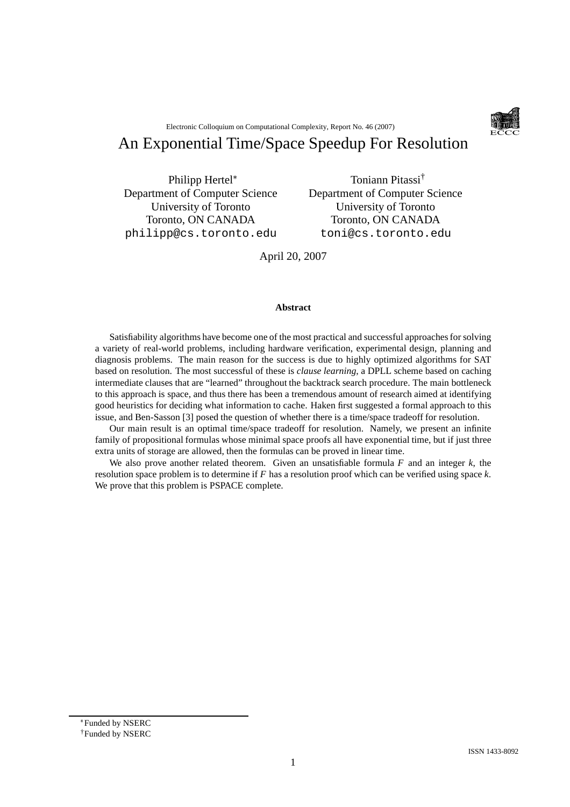Electronic Colloquium on Computational Complexity, Report No. 46 (2007)

# An Exponential Time/Space Speedup For Resolution

Philipp Hertel Department of Computer Science University of Toronto Toronto, ON CANADA philipp@cs.toronto.edu

Toniann Pitassi† Department of Computer Science University of Toronto Toronto, ON CANADA toni@cs.toronto.edu

April 20, 2007

#### **Abstract**

Satisfiability algorithms have become one of the most practical and successful approaches for solving a variety of real-world problems, including hardware verification, experimental design, planning and diagnosis problems. The main reason for the success is due to highly optimized algorithms for SAT based on resolution. The most successful of these is *clause learning*, a DPLL scheme based on caching intermediate clauses that are "learned" throughout the backtrack search procedure. The main bottleneck to this approach is space, and thus there has been a tremendous amount of research aimed at identifying good heuristics for deciding what information to cache. Haken first suggested a formal approach to this issue, and Ben-Sasson [3] posed the question of whether there is a time/space tradeoff for resolution.

Our main result is an optimal time/space tradeoff for resolution. Namely, we present an infinite family of propositional formulas whose minimal space proofs all have exponential time, but if just three extra units of storage are allowed, then the formulas can be proved in linear time.

We also prove another related theorem. Given an unsatisfiable formula *F* and an integer *k*, the resolution space problem is to determine if *F* has a resolution proof which can be verified using space *k*. We prove that this problem is PSPACE complete.

Funded by NSERC

<sup>†</sup>Funded by NSERC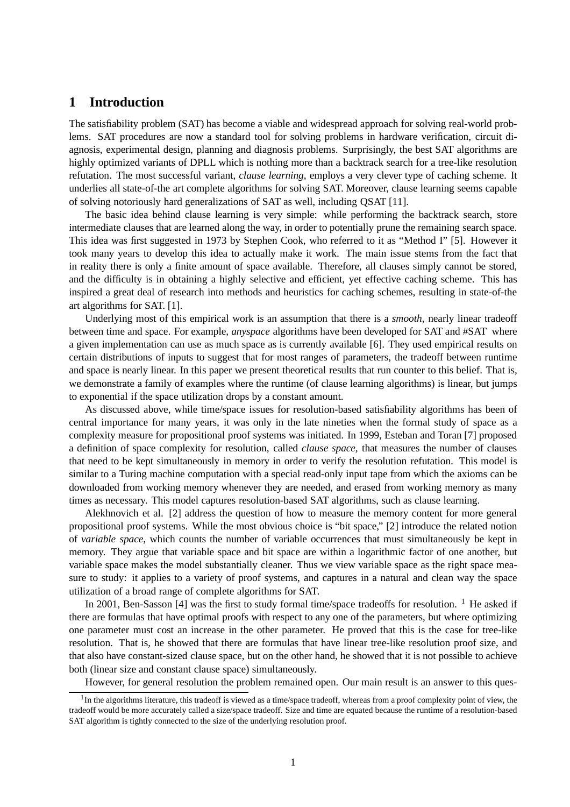### **1 Introduction**

The satisfiability problem (SAT) has become a viable and widespread approach for solving real-world problems. SAT procedures are now a standard tool for solving problems in hardware verification, circuit diagnosis, experimental design, planning and diagnosis problems. Surprisingly, the best SAT algorithms are highly optimized variants of DPLL which is nothing more than a backtrack search for a tree-like resolution refutation. The most successful variant, *clause learning*, employs a very clever type of caching scheme. It underlies all state-of-the art complete algorithms for solving SAT. Moreover, clause learning seems capable of solving notoriously hard generalizations of SAT as well, including QSAT [11].

The basic idea behind clause learning is very simple: while performing the backtrack search, store intermediate clauses that are learned along the way, in order to potentially prune the remaining search space. This idea was first suggested in 1973 by Stephen Cook, who referred to it as "Method I" [5]. However it took many years to develop this idea to actually make it work. The main issue stems from the fact that in reality there is only a finite amount of space available. Therefore, all clauses simply cannot be stored, and the difficulty is in obtaining a highly selective and efficient, yet effective caching scheme. This has inspired a great deal of research into methods and heuristics for caching schemes, resulting in state-of-the art algorithms for SAT. [1].

Underlying most of this empirical work is an assumption that there is a *smooth*, nearly linear tradeoff between time and space. For example, *anyspace* algorithms have been developed for SAT and #SAT where a given implementation can use as much space as is currently available [6]. They used empirical results on certain distributions of inputs to suggest that for most ranges of parameters, the tradeoff between runtime and space is nearly linear. In this paper we present theoretical results that run counter to this belief. That is, we demonstrate a family of examples where the runtime (of clause learning algorithms) is linear, but jumps to exponential if the space utilization drops by a constant amount.

As discussed above, while time/space issues for resolution-based satisfiability algorithms has been of central importance for many years, it was only in the late nineties when the formal study of space as a complexity measure for propositional proof systems was initiated. In 1999, Esteban and Toran [7] proposed a definition of space complexity for resolution, called *clause space*, that measures the number of clauses that need to be kept simultaneously in memory in order to verify the resolution refutation. This model is similar to a Turing machine computation with a special read-only input tape from which the axioms can be downloaded from working memory whenever they are needed, and erased from working memory as many times as necessary. This model captures resolution-based SAT algorithms, such as clause learning.

Alekhnovich et al. [2] address the question of how to measure the memory content for more general propositional proof systems. While the most obvious choice is "bit space," [2] introduce the related notion of *variable space*, which counts the number of variable occurrences that must simultaneously be kept in memory. They argue that variable space and bit space are within a logarithmic factor of one another, but variable space makes the model substantially cleaner. Thus we view variable space as the right space measure to study: it applies to a variety of proof systems, and captures in a natural and clean way the space utilization of a broad range of complete algorithms for SAT.

In 2001, Ben-Sasson [4] was the first to study formal time/space tradeoffs for resolution.  $1$  He asked if there are formulas that have optimal proofs with respect to any one of the parameters, but where optimizing one parameter must cost an increase in the other parameter. He proved that this is the case for tree-like resolution. That is, he showed that there are formulas that have linear tree-like resolution proof size, and that also have constant-sized clause space, but on the other hand, he showed that it is not possible to achieve both (linear size and constant clause space) simultaneously.

However, for general resolution the problem remained open. Our main result is an answer to this ques-

<sup>&</sup>lt;sup>1</sup>In the algorithms literature, this tradeoff is viewed as a time/space tradeoff, whereas from a proof complexity point of view, the tradeoff would be more accurately called a size/space tradeoff. Size and time are equated because the runtime of a resolution-based SAT algorithm is tightly connected to the size of the underlying resolution proof.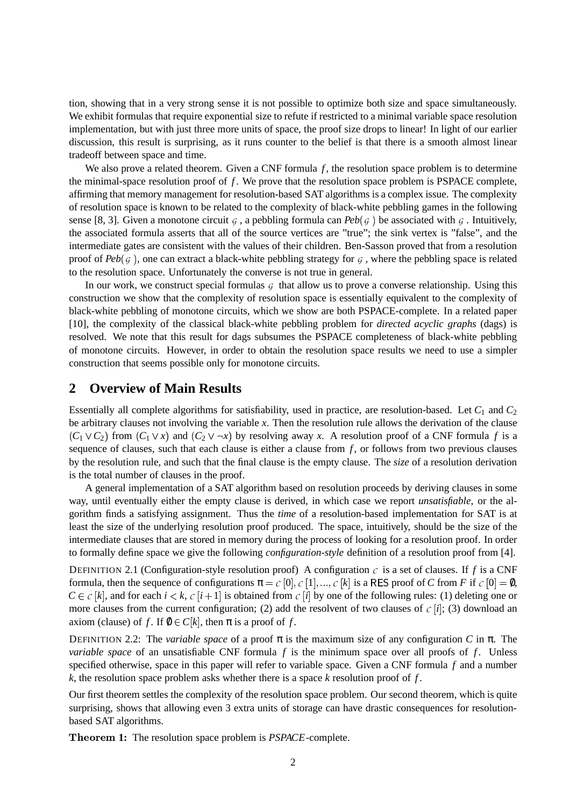tion, showing that in a very strong sense it is not possible to optimize both size and space simultaneously. We exhibit formulas that require exponential size to refute if restricted to a minimal variable space resolution implementation, but with just three more units of space, the proof size drops to linear! In light of our earlier discussion, this result is surprising, as it runs counter to the belief is that there is a smooth almost linear tradeoff between space and time.

We also prove a related theorem. Given a CNF formula f, the resolution space problem is to determine the minimal-space resolution proof of  $f$ . We prove that the resolution space problem is PSPACE complete, affirming that memory management for resolution-based SAT algorithms is a complex issue. The complexity of resolution space is known to be related to the complexity of black-white pebbling games in the following sense [8, 3]. Given a monotone circuit  $\varsigma$ , a pebbling formula can  $Peb(\varsigma)$  be associated with  $\varsigma$ . Intuitively, the associated formula asserts that all of the source vertices are "true"; the sink vertex is "false", and the intermediate gates are consistent with the values of their children. Ben-Sasson proved that from a resolution proof of  $Peb(g)$ , one can extract a black-white pebbling strategy for  $g$ , where the pebbling space is related to the resolution space. Unfortunately the converse is not true in general.

In our work, we construct special formulas  $G$  that allow us to prove a converse relationship. Using this construction we show that the complexity of resolution space is essentially equivalent to the complexity of black-white pebbling of monotone circuits, which we show are both PSPACE-complete. In a related paper [10], the complexity of the classical black-white pebbling problem for *directed acyclic graphs* (dags) is resolved. We note that this result for dags subsumes the PSPACE completeness of black-white pebbling of monotone circuits. However, in order to obtain the resolution space results we need to use a simpler construction that seems possible only for monotone circuits.

#### **2 Overview of Main Results**

Essentially all complete algorithms for satisfiability, used in practice, are resolution-based. Let *C*<sup>1</sup> and *C*<sup>2</sup> be arbitrary clauses not involving the variable *x*. Then the resolution rule allows the derivation of the clause  $(C_1 \vee C_2)$  from  $(C_1 \vee x)$  and  $(C_2 \vee \neg x)$  by resolving away *x*. A resolution proof of a CNF formula *f* is a sequence of clauses, such that each clause is either a clause from *f* , or follows from two previous clauses by the resolution rule, and such that the final clause is the empty clause. The *size* of a resolution derivation is the total number of clauses in the proof.

A general implementation of a SAT algorithm based on resolution proceeds by deriving clauses in some way, until eventually either the empty clause is derived, in which case we report *unsatisfiable*, or the algorithm finds a satisfying assignment. Thus the *time* of a resolution-based implementation for SAT is at least the size of the underlying resolution proof produced. The space, intuitively, should be the size of the intermediate clauses that are stored in memory during the process of looking for a resolution proof. In order to formally define space we give the following *configuration-style* definition of a resolution proof from [4].

DEFINITION 2.1 (Configuration-style resolution proof) A configuration  $c$  is a set of clauses. If  $f$  is a CNF formula, then the sequence of configurations  $\pi = c[0], c[1], ..., c[k]$  is a RES proof of *C* from *F* if  $c[0] = \emptyset$ ,  $C \in C[k]$ , and for each  $i \leq k$ ,  $C[i+1]$  is obtained from  $C[i]$  by one of the following rules: (1) deleting one or more clauses from the current configuration; (2) add the resolvent of two clauses of  $c[i]$ ; (3) download an axiom (clause) of f. If  $\emptyset \in C[k]$ , then  $\pi$  is a proof of f.

DEFINITION 2.2: The *variable space* of a proof  $\pi$  is the maximum size of any configuration *C* in π. The *variable space* of an unsatisfiable CNF formula *f* is the minimum space over all proofs of *f*. Unless specified otherwise, space in this paper will refer to variable space. Given a CNF formula *f* and a number *k*, the resolution space problem asks whether there is a space *k* resolution proof of *f* .

Our first theorem settles the complexity of the resolution space problem. Our second theorem, which is quite surprising, shows that allowing even 3 extra units of storage can have drastic consequences for resolutionbased SAT algorithms.

**Theorem 1:** The resolution space problem is *PSPACE*-complete.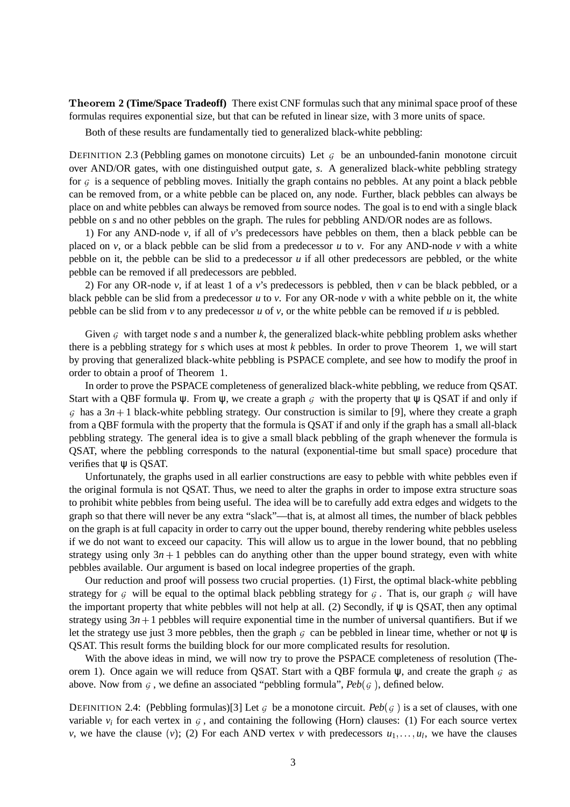**Theorem 2 (Time/Space Tradeoff)** There exist CNF formulas such that any minimal space proof of these formulas requires exponential size, but that can be refuted in linear size, with 3 more units of space.

Both of these results are fundamentally tied to generalized black-white pebbling:

DEFINITION 2.3 (Pebbling games on monotone circuits) Let  $G$  be an unbounded-fanin monotone circuit over AND/OR gates, with one distinguished output gate, *s*. A generalized black-white pebbling strategy for  $G$  is a sequence of pebbling moves. Initially the graph contains no pebbles. At any point a black pebble can be removed from, or a white pebble can be placed on, any node. Further, black pebbles can always be place on and white pebbles can always be removed from source nodes. The goal is to end with a single black pebble on *s* and no other pebbles on the graph. The rules for pebbling AND/OR nodes are as follows.

1) For any AND-node *v*, if all of *v*'s predecessors have pebbles on them, then a black pebble can be placed on *v*, or a black pebble can be slid from a predecessor *u* to *v*. For any AND-node *v* with a white pebble on it, the pebble can be slid to a predecessor *u* if all other predecessors are pebbled, or the white pebble can be removed if all predecessors are pebbled.

2) For any OR-node *v*, if at least 1 of a *v*'s predecessors is pebbled, then *v* can be black pebbled, or a black pebble can be slid from a predecessor  $u$  to  $v$ . For any OR-node  $v$  with a white pebble on it, the white pebble can be slid from *v* to any predecessor *u* of *v*, or the white pebble can be removed if *u* is pebbled.

Given  $G$  with target node  $s$  and a number  $k$ , the generalized black-white pebbling problem asks whether there is a pebbling strategy for *s* which uses at most *k* pebbles. In order to prove Theorem 1, we will start by proving that generalized black-white pebbling is PSPACE complete, and see how to modify the proof in order to obtain a proof of Theorem 1.

In order to prove the PSPACE completeness of generalized black-white pebbling, we reduce from QSAT. Start with a QBF formula  $\psi$ . From  $\psi$ , we create a graph G with the property that  $\psi$  is QSAT if and only if  $G$  has a  $3n + 1$  black-white pebbling strategy. Our construction is similar to [9], where they create a graph from a QBF formula with the property that the formula is QSAT if and only if the graph has a small all-black pebbling strategy. The general idea is to give a small black pebbling of the graph whenever the formula is QSAT, where the pebbling corresponds to the natural (exponential-time but small space) procedure that verifies that  $\psi$  is QSAT.

Unfortunately, the graphs used in all earlier constructions are easy to pebble with white pebbles even if the original formula is not QSAT. Thus, we need to alter the graphs in order to impose extra structure soas to prohibit white pebbles from being useful. The idea will be to carefully add extra edges and widgets to the graph so that there will never be any extra "slack"—that is, at almost all times, the number of black pebbles on the graph is at full capacity in order to carry out the upper bound, thereby rendering white pebbles useless if we do not want to exceed our capacity. This will allow us to argue in the lower bound, that no pebbling strategy using only  $3n + 1$  pebbles can do anything other than the upper bound strategy, even with white pebbles available. Our argument is based on local indegree properties of the graph.

Our reduction and proof will possess two crucial properties. (1) First, the optimal black-white pebbling strategy for G will be equal to the optimal black pebbling strategy for G. That is, our graph G will have the important property that white pebbles will not help at all. (2) Secondly, if  $\psi$  is QSAT, then any optimal strategy using  $3n + 1$  pebbles will require exponential time in the number of universal quantifiers. But if we let the strategy use just 3 more pebbles, then the graph  $G$  can be pebbled in linear time, whether or not  $\Psi$  is QSAT. This result forms the building block for our more complicated results for resolution.

With the above ideas in mind, we will now try to prove the PSPACE completeness of resolution (Theorem 1). Once again we will reduce from QSAT. Start with a QBF formula  $\psi$ , and create the graph  $G$  as above. Now from  $\mathfrak{g}$ , we define an associated "pebbling formula",  $Peb(\mathfrak{g})$ , defined below.

DEFINITION 2.4: (Pebbling formulas)[3] Let  $\varsigma$  be a monotone circuit.  $Peb(\varsigma)$  is a set of clauses, with one variable  $v_i$  for each vertex in  $G_i$ , and containing the following (Horn) clauses: (1) For each source vertex *v*, we have the clause (*v*); (2) For each AND vertex *v* with predecessors  $u_1, \ldots, u_l$ , we have the clauses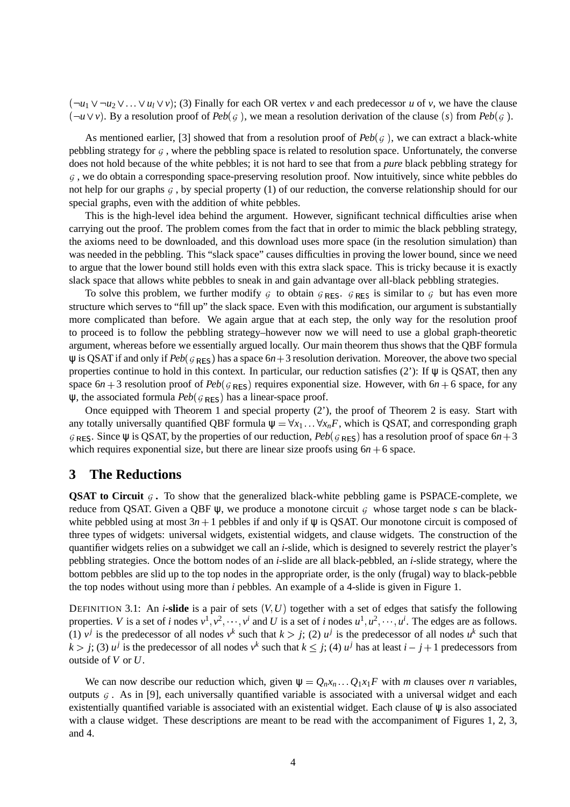$(\neg u_1 \lor \neg u_2 \lor \dots \lor u_l \lor v)$ ; (3) Finally for each OR vertex *v* and each predecessor *u* of *v*, we have the clause  $(\neg u \lor v)$ . By a resolution proof of *Peb*( $\varsigma$ ), we mean a resolution derivation of the clause (s) from *Peb*( $\varsigma$ ).

As mentioned earlier, [3] showed that from a resolution proof of  $Peb(\mathfrak{g})$ , we can extract a black-white pebbling strategy for  $G$ , where the pebbling space is related to resolution space. Unfortunately, the converse does not hold because of the white pebbles; it is not hard to see that from a *pure* black pebbling strategy for  $G$ , we do obtain a corresponding space-preserving resolution proof. Now intuitively, since white pebbles do not help for our graphs  $G$ , by special property (1) of our reduction, the converse relationship should for our special graphs, even with the addition of white pebbles.

This is the high-level idea behind the argument. However, significant technical difficulties arise when carrying out the proof. The problem comes from the fact that in order to mimic the black pebbling strategy, the axioms need to be downloaded, and this download uses more space (in the resolution simulation) than was needed in the pebbling. This "slack space" causes difficulties in proving the lower bound, since we need to argue that the lower bound still holds even with this extra slack space. This is tricky because it is exactly slack space that allows white pebbles to sneak in and gain advantage over all-black pebbling strategies.

To solve this problem, we further modify  $G$  to obtain  $G_{RES}$ .  $G_{RES}$  is similar to  $G$  but has even more structure which serves to "fill up" the slack space. Even with this modification, our argument is substantially more complicated than before. We again argue that at each step, the only way for the resolution proof to proceed is to follow the pebbling strategy–however now we will need to use a global graph-theoretic argument, whereas before we essentially argued locally. Our main theorem thus shows that the QBF formula  $\psi$  is QSAT if and only if  $Peb(g_{RES})$  has a space  $6n+3$  resolution derivation. Moreover, the above two special properties continue to hold in this context. In particular, our reduction satisfies (2'): If  $\psi$  is QSAT, then any space  $6n + 3$  resolution proof of  $Peb(g_{\text{RES}})$  requires exponential size. However, with  $6n + 6$  space, for any  $\psi$ , the associated formula  $Peb(g_{RES})$  has a linear-space proof.

Once equipped with Theorem 1 and special property (2'), the proof of Theorem 2 is easy. Start with any totally universally quantified QBF formula  $\psi = \forall x_1 \dots \forall x_n F$ , which is QSAT, and corresponding graph  $G_{RES}$ . Since  $\psi$  is QSAT, by the properties of our reduction,  $Peb(g_{RES})$  has a resolution proof of space  $6n+3$ which requires exponential size, but there are linear size proofs using  $6n + 6$  space.

## **3 The Reductions**

**QSAT to Circuit**  $G$ . To show that the generalized black-white pebbling game is PSPACE-complete, we reduce from QSAT. Given a QBF  $\psi$ , we produce a monotone circuit  $\varsigma$  whose target node s can be blackwhite pebbled using at most  $3n + 1$  pebbles if and only if  $\psi$  is QSAT. Our monotone circuit is composed of three types of widgets: universal widgets, existential widgets, and clause widgets. The construction of the quantifier widgets relies on a subwidget we call an *i*-slide, which is designed to severely restrict the player's pebbling strategies. Once the bottom nodes of an *i*-slide are all black-pebbled, an *i*-slide strategy, where the bottom pebbles are slid up to the top nodes in the appropriate order, is the only (frugal) way to black-pebble the top nodes without using more than *i* pebbles. An example of a 4-slide is given in Figure 1.

DEFINITION 3.1: An *i*-slide is a pair of sets  $(V, U)$  together with a set of edges that satisfy the following properties. *V* is a set of *i* nodes  $v^1, v^2, \dots, v^i$  and *U* is a set of *i* nodes  $u^1, u^2, \dots, u^i$ . The edges are as follows. (1)  $v^j$  is the predecessor of all nodes  $v^k$  such that  $k > j$ ; (2)  $u^j$  is the predecessor of all nodes  $u^k$  such that  $k > j$ ; (3)  $u^j$  is the predecessor of all nodes  $v^k$  such that  $k \leq j$ ; (4)  $u^j$  has at least  $i - j + 1$  predecessors from outside of *V* or *U*.

We can now describe our reduction which, given  $\psi = Q_n x_n \dots Q_1 x_1 F$  with *m* clauses over *n* variables, outputs  $G$ . As in [9], each universally quantified variable is associated with a universal widget and each existentially quantified variable is associated with an existential widget. Each clause of ψ is also associated with a clause widget. These descriptions are meant to be read with the accompaniment of Figures 1, 2, 3, and 4.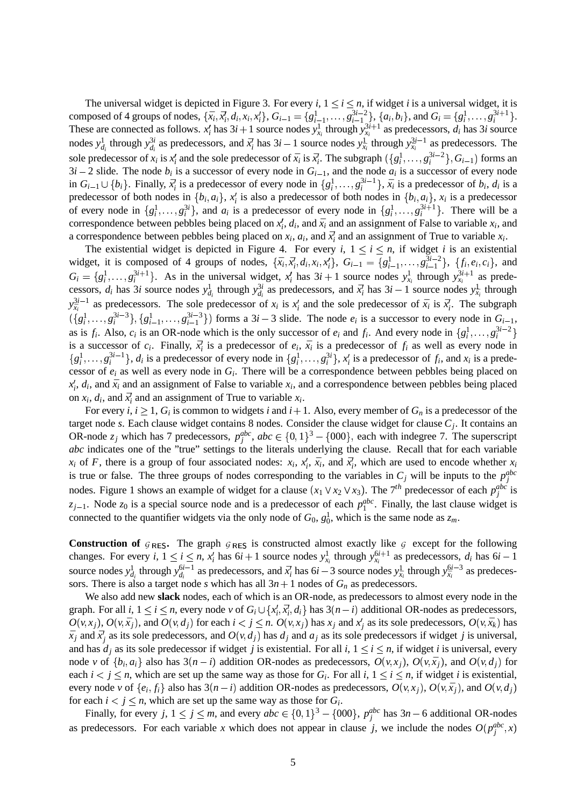The universal widget is depicted in Figure 3. For every *i*,  $1 \le i \le n$ , if widget *i* is a universal widget, it is composed of 4 groups of nodes,  $\{\bar{x}_i, \bar{x}'_i, d_i, x_i, x'_i\}$ ,  $G_{i-1} = \{g_{i-1}^1, \dots, g_{i-1}^{3i-2}\}$ ,  $\{a_i, b_i\}$ , and  $G_i = \{g_i^1, \dots, g_i^{3i+1}\}$ . These are connected as follows.  $x_i'$  has  $3i + 1$  source nodes  $y_{x_i}^1$  through  $y_{x_i}^{3i+1}$  as predecessors,  $d_i$  has  $3i$  source nodes  $y_{d_i}^1$  through  $y_{d_i}^{3i}$  as predecessors, and  $\bar{x}_i$  has  $3i-1$  source nodes  $y_{\bar{x}_i}^1$  through  $y_{\bar{x}_i}^{3i-1}$  as predecessors. The sole predecessor of  $x_i$  is  $x'_i$  and the sole predecessor of  $\bar{x}_i$  is  $\bar{x}'_i$ . The subgraph  $(\{g_i^1, \ldots, g_i^{3i-2}\}, G_{i-1})$  forms an  $3i - 2$  slide. The node  $b_i$  is a successor of every node in  $G_{i-1}$ , and the node  $a_i$  is a successor of every node in  $G_{i-1} \cup \{b_i\}$ . Finally,  $\bar{x}_i^j$  is a predecessor of every node in  $\{g_i^1, \ldots, g_i^{3i-1}\}$ ,  $\bar{x}_i$  is a predecessor of  $b_i$ ,  $d_i$  is a predecessor of both nodes in  $\{b_i, a_i\}$ ,  $x_i$  is also a predecessor of both nodes in  $\{b_i, a_i\}$ ,  $x_i$  is a predecessor of every node in  $\{g_i^1, \ldots, g_i^{3i}\}$ , and  $a_i$  is a predecessor of every node in  $\{g_i^1, \ldots, g_i^{3i+1}\}$ . There will be a correspondence between pebbles being placed on  $x'_i$ ,  $d_i$ , and  $\bar{x}_i$  and an assignment of False to variable  $x_i$ , and a correspondence between pebbles being placed on  $x_i$ ,  $a_i$ , and  $\bar{x}_i^t$  and an assignment of True to variable  $x_i$ .

The existential widget is depicted in Figure 4. For every *i*,  $1 \le i \le n$ , if widget *i* is an existential widget, it is composed of 4 groups of nodes,  $\{\bar{x}_i, \bar{x}_i, d_i, x_i, x_i'\}$ ,  $G_{i-1} = \{g_{i-1}^1, \dots, g_{i-1}^{3i-2}\}$ ,  $\{f_i, e_i, c_i\}$ , and  $G_i = \{g_i^1, \ldots, g_i^{3i+1}\}\$ . As in the universal widget,  $x_i^j$  has  $3i+1$  source nodes  $y_{x_i}^1$  through  $y_{x_i}^{3i+1}$  as predecessors,  $d_i$  has 3*i* source nodes  $y_{d_i}^1$  through  $y_{d_i}^{3i}$  as predecessors, and  $\vec{x}_i$  has  $3i-1$  source nodes  $y_{\vec{x}_i}^1$  through  $y_{\bar{x}_i}^{3i-1}$  as predecessors. The sole predecessor of  $x_i$  is  $x_i'$  and the sole predecessor of  $\bar{x}_i$  is  $\bar{x}_i'$ . The subgraph  $(\{g_i^1, \ldots, g_i^{3i-3}\}, \{g_{i-1}^1, \ldots, g_{i-1}^{3i-3}\})$  forms a  $3i-3$  slide. The node  $e_i$  is a successor to every node in  $G_{i-1}$ , as is  $f_i$ . Also,  $c_i$  is an OR-node which is the only successor of  $e_i$  and  $f_i$ . And every node in  $\{g_i^1, \ldots, g_i^{3i-2}\}\$ is a successor of  $c_i$ . Finally,  $\bar{x}_i^j$  is a predecessor of  $e_i$ ,  $\bar{x}_i$  is a predecessor of  $f_i$  as well as every node in  $\{g_i^1, \ldots, g_i^{3i-1}\}\$ ,  $d_i$  is a predecessor of every node in  $\{g_i^1, \ldots, g_i^{3i}\}\$ ,  $x_i^j$  is a predecessor of  $f_i$ , and  $x_i$  is a predecessor of *e<sup>i</sup>* as well as every node in *G<sup>i</sup>* . There will be a correspondence between pebbles being placed on  $x_i^j$ ,  $d_i$ , and  $\bar{x}_i$  and an assignment of False to variable  $x_i$ , and a correspondence between pebbles being placed on  $x_i$ ,  $d_i$ , and  $\bar{x}_i^j$  and an assignment of True to variable  $x_i$ .

For every *i*,  $i \geq 1$ ,  $G_i$  is common to widgets *i* and  $i+1$ . Also, every member of  $G_n$  is a predecessor of the target node *s*. Each clause widget contains 8 nodes. Consider the clause widget for clause *C<sup>j</sup>* . It contains an OR-node  $z_j$  which has 7 predecessors,  $p_j^{abc}$ ,  $abc \in \{0,1\}^3 - \{000\}$ , each with indegree 7. The superscript *abc* indicates one of the "true" settings to the literals underlying the clause. Recall that for each variable  $x_i$  of *F*, there is a group of four associated nodes:  $x_i$ ,  $x'_i$ ,  $\bar{x}_i$ , and  $\bar{x}'_i$ , which are used to encode whether  $x_i$ is true or false. The three groups of nodes corresponding to the variables in  $C_j$  will be inputs to the  $p_j^{abc}$ nodes. Figure 1 shows an example of widget for a clause  $(x_1 \vee x_2 \vee x_3)$ . The 7<sup>th</sup> predecessor of each  $p_j^{abc}$  is  $z_{j-1}$ . Node  $z_0$  is a special source node and is a predecessor of each  $p_1^{abc}$ . Finally, the last clause widget is connected to the quantifier widgets via the only node of  $G_0$ ,  $g_0^1$ , which is the same node as  $z_m$ .

**Construction of**  $G_{RES}$ . The graph  $G_{RES}$  is constructed almost exactly like  $G$  except for the following changes. For every *i*,  $1 \le i \le n$ ,  $x_i^j$  has  $6i + 1$  source nodes  $y_{x_i}^1$  through  $y_{x_i}^{6i+1}$  as predecessors,  $d_i$  has  $6i - 1$ source nodes  $y_{d_i}^1$  through  $y_{d_i}^{6i-1}$  as predecessors, and  $\bar{x}_i'$  has  $6i-3$  source nodes  $y_{\bar{x}_i}^1$  through  $y_{\bar{x}_i}^{6i-3}$  as predecessors. There is also a target node *s* which has all  $3n + 1$  nodes of  $G_n$  as predecessors.

We also add new **slack** nodes, each of which is an OR-node, as predecessors to almost every node in the graph. For all *i*,  $1 \le i \le n$ , every node *v* of  $G_i \cup \{x'_i, \bar{x}'_i, d_i\}$  has  $3(n-i)$  additional OR-nodes as predecessors,  $O(v, x_j)$ ,  $O(v, \bar{x}_j)$ , and  $O(v, d_j)$  for each  $i < j \le n$ .  $O(v, x_j)$  has  $x_j$  and  $x'_j$  as its sole predecessors,  $O(v, \bar{x}_k)$  has  $\bar{x}_j$  and  $\bar{x}'_j$  as its sole predecessors, and  $O(v, d_j)$  has  $d_j$  and  $a_j$  as its sole predecessors if widget *j* is universal, and has  $d_i$  as its sole predecessor if widget *j* is existential. For all *i*,  $1 \le i \le n$ , if widget *i* is universal, every node v of  $\{b_i, a_i\}$  also has  $3(n-i)$  addition OR-nodes as predecessors,  $O(v, x_j)$ ,  $O(v, \bar{x}_j)$ , and  $O(v, d_j)$  for each  $i < j \le n$ , which are set up the same way as those for  $G_i$ . For all  $i, 1 \le i \le n$ , if widget *i* is existential, every node v of  $\{e_i, f_i\}$  also has  $3(n-i)$  addition OR-nodes as predecessors,  $O(v, x_j)$ ,  $O(v, \bar{x}_j)$ , and  $O(v, d_j)$ for each  $i < j \leq n$ , which are set up the same way as those for  $G_i$ .

Finally, for every  $j, 1 \le j \le m$ , and every  $abc \in \{0,1\}^3 - \{000\}$ ,  $p_j^{abc}$  has  $3n - 6$  additional OR-nodes as predecessors. For each variable *x* which does not appear in clause *j*, we include the nodes  $O(p_j^{abc}, x)$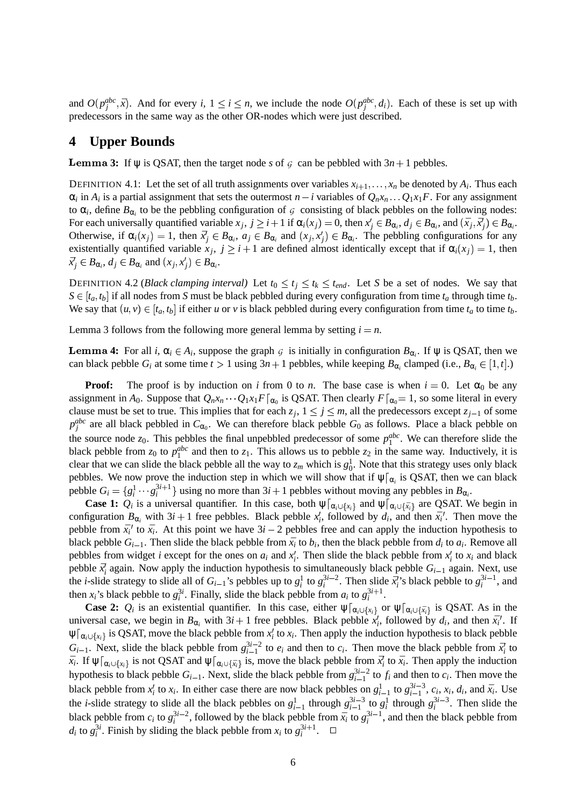and  $O(p_j^{abc}, \bar{x})$ . And for every *i*,  $1 \le i \le n$ , we include the node  $O(p_j^{abc}, d_i)$ . Each of these is set up with predecessors in the same way as the other OR-nodes which were just described.

#### **4 Upper Bounds**

**Lemma 3:** If  $\psi$  is QSAT, then the target node *s* of  $\varsigma$  can be pebbled with  $3n + 1$  pebbles.

DEFINITION 4.1: Let the set of all truth assignments over variables  $x_{i+1}, \ldots, x_n$  be denoted by  $A_i$ . Thus each  $\alpha_i$  in  $A_i$  is a partial assignment that sets the outermost  $n-i$  variables of  $Q_n x_n \dots Q_1 x_1 F$ . For any assignment to  $\alpha_i$ , define  $B_{\alpha_i}$  to be the pebbling configuration of  $\beta$  consisting of black pebbles on the following nodes: For each universally quantified variable  $x_j$ ,  $j \ge i+1$  if  $\alpha_i(x_j) = 0$ , then  $x'_j \in B_{\alpha_i}$ ,  $d_j \in B_{\alpha_i}$ , and  $(\bar{x}_j, \bar{x}'_j) \in B_{\alpha_i}$ . Otherwise, if  $\alpha_i(x_j) = 1$ , then  $\bar{x}_j' \in B_{\alpha_i}$ ,  $a_j \in B_{\alpha_i}$  and  $(x_j, x'_j) \in B_{\alpha_i}$ . The pebbling configurations for any existentially quantified variable  $x_j$ ,  $j \geq i+1$  are defined almost identically except that if  $\alpha_i(x_j) = 1$ , then  $\overline{x}'_j \in B_{\alpha_i}, d_j \in B_{\alpha_i}$  and  $(x_j, x'_j) \in B_{\alpha_i}$ .

DEFINITION 4.2 (*Black clamping interval*) Let  $t_0 \le t_j \le t_k \le t_{end}$ . Let *S* be a set of nodes. We say that  $S \in [t_a, t_b]$  if all nodes from *S* must be black pebbled during every configuration from time  $t_a$  through time  $t_b$ . We say that  $(u, v) \in [t_a, t_b]$  if either *u* or *v* is black pebbled during every configuration from time  $t_a$  to time  $t_b$ .

Lemma 3 follows from the following more general lemma by setting  $i = n$ .

**Lemma 4:** For all *i*,  $\alpha_i \in A_i$ , suppose the graph  $\varsigma$  is initially in configuration  $B_{\alpha_i}$ . If  $\psi$  is QSAT, then we can black pebble *G<sub>i</sub>* at some time  $t > 1$  using  $3n + 1$  pebbles, while keeping  $B_{\alpha_i}$  clamped (i.e.,  $B_{\alpha_i} \in [1, t]$ .)

**Proof:** The proof is by induction on *i* from 0 to *n*. The base case is when  $i = 0$ . Let  $\alpha_0$  be any assignment in  $A_0$ . Suppose that  $Q_n x_n \cdots Q_1 x_1 F|_{\alpha_0}$  is QSAT. Then clearly  $F|_{\alpha_0} = 1$ , so some literal in every clause must be set to true. This implies that for each  $z_j$ ,  $1 \le j \le m$ , all the predecessors except  $z_{j-1}$  of some  $p_j^{abc}$  are all black pebbled in  $C_{\alpha_0}$ . We can therefore black pebble *G*<sub>0</sub> as follows. Place a black pebble on the source node  $z_0$ . This pebbles the final unpebbled predecessor of some  $p_1^{abc}$ . We can therefore slide the black pebble from  $z_0$  to  $p_1^{abc}$  and then to  $z_1$ . This allows us to pebble  $z_2$  in the same way. Inductively, it is clear that we can slide the black pebble all the way to  $z_m$  which is  $g_0^1$ . Note that this strategy uses only black pebbles. We now prove the induction step in which we will show that if  $\psi|_{\alpha_i}$  is QSAT, then we can black pebble  $G_i = \{g_i^1 \cdots g_i^{3i+1}\}\$  using no more than  $3i+1$  pebbles without moving any pebbles in  $B_{\alpha_i}$ .

**Case 1:**  $Q_i$  is a universal quantifier. In this case, both  $\psi|_{\alpha_i \cup \{x_i\}}$  and  $\psi|_{\alpha_i \cup \{\bar{x}_i\}}$  are QSAT. We begin in configuration  $B_{\alpha_i}$  with  $3i + 1$  free pebbles. Black pebble  $x_i^j$ , followed by  $d_i$ , and then  $\bar{x_i}^j$ . Then move the pebble from  $\bar{x}_i^{\prime}$  to  $\bar{x}_i$ . At this point we have  $3i - 2$  pebbles free and can apply the induction hypothesis to black pebble  $G_{i-1}$ . Then slide the black pebble from  $\bar{x}_i$  to  $b_i$ , then the black pebble from  $d_i$  to  $a_i$ . Remove all pebbles from widget *i* except for the ones on  $a_i$  and  $x'_i$ . Then slide the black pebble from  $x'_i$  to  $x_i$  and black pebble  $\bar{x}_i^j$  again. Now apply the induction hypothesis to simultaneously black pebble  $G_{i-1}$  again. Next, use the *i*-slide strategy to slide all of  $G_{i-1}$ 's pebbles up to  $g_i^1$  to  $g_i^{3i-2}$ . Then slide  $\bar{x}_i^i$ 's black pebble to  $g_i^{3i-1}$ , and then  $x_i$ 's black pebble to  $g_i^{3i}$ . Finally, slide the black pebble from  $a_i$  to  $g_i^{3i+1}$ .

**Case 2:**  $Q_i$  is an existential quantifier. In this case, either  $\psi|_{\alpha_i \cup \{x_i\}}$  or  $\psi|_{\alpha_i \cup \{\bar{x}_i\}}$  is QSAT. As in the universal case, we begin in  $B_{\alpha_i}$  with  $3i + 1$  free pebbles. Black pebble  $x'_i$ , followed by  $d_i$ , and then  $\bar{x}_i'$ . If  $\psi[\alpha_i \cup \{\overline{x_i}\}]$  is QSAT, move the black pebble from  $x_i'$  to  $x_i$ . Then apply the induction hypothesis to black pebble  $G_{i-1}$ . Next, slide the black pebble from  $g_{i-1}^{3i-2}$  to  $e_i$  and then to  $c_i$ . Then move the black pebble from  $\bar{x}_i^j$  to  $\bar{x}_i$ . If  $\psi|_{\alpha_i \cup \{x_i\}}$  is not QSAT and  $\psi|_{\alpha_i \cup \{\bar{x}_i\}}$  is, move the black pebble from  $\bar{x}_i'$  to  $\bar{x}_i$ . Then apply the induction hypothesis to black pebble  $G_{i-1}$ . Next, slide the black pebble from  $g_{i-1}^{3i-2}$  to  $f_i$  and then to  $c_i$ . Then move the black pebble from  $x'_i$  to  $x_i$ . In either case there are now black pebbles on  $g_{i-1}^1$  to  $g_{i-1}^{3i-3}$ ,  $c_i$ ,  $x_i$ ,  $d_i$ , and  $\bar{x}_i$ . Use the *i*-slide strategy to slide all the black pebbles on  $g_{i-1}^1$  through  $g_{i-1}^{3i-3}$  to  $g_i^1$  through  $g_i^{3i-3}$ . Then slide the black pebble from  $c_i$  to  $g_i^{3i-2}$ , followed by the black pebble from  $\bar{x}_i$  to  $g_i^{3i-1}$ , and then the black pebble from *d<sub>i</sub>* to  $g_i^{3i}$ . Finish by sliding the black pebble from  $x_i$  to  $g_i^{3i+1}$ .  $\Box$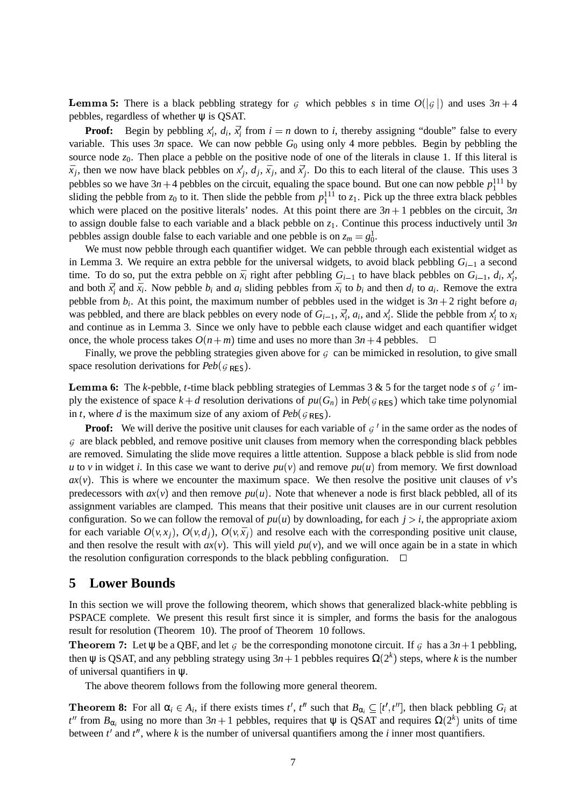**Lemma 5:** There is a black pebbling strategy for  $\epsilon$  which pebbles  $s$  in time  $O(|\epsilon|)$  and uses  $3n + 4$ pebbles, regardless of whether  $\psi$  is QSAT.

**Proof:** Begin by pebbling  $x_i^j$ ,  $d_i$ ,  $\bar{x}_i^j$  from  $i = n$  down to *i*, thereby assigning "double" false to every variable. This uses  $3n$  space. We can now pebble  $G_0$  using only 4 more pebbles. Begin by pebbling the source node  $z_0$ . Then place a pebble on the positive node of one of the literals in clause 1. If this literal is  $\bar{x}_j$ , then we now have black pebbles on  $x'_j$ ,  $d_j$ ,  $\bar{x}_j$ , and  $\bar{x}'_j$ . Do this to each literal of the clause. This uses 3 pebbles so we have  $3n+4$  pebbles on the circuit, equaling the space bound. But one can now pebble  $p_1^{111}$  by sliding the pebble from  $z_0$  to it. Then slide the pebble from  $p_1^{111}$  to  $z_1$ . Pick up the three extra black pebbles which were placed on the positive literals' nodes. At this point there are  $3n + 1$  pebbles on the circuit, 3*n* to assign double false to each variable and a black pebble on *z*1. Continue this process inductively until 3*n* pebbles assign double false to each variable and one pebble is on  $z_m = g_0^1$ .

We must now pebble through each quantifier widget. We can pebble through each existential widget as in Lemma 3. We require an extra pebble for the universal widgets, to avoid black pebbling  $G_{i-1}$  a second time. To do so, put the extra pebble on  $\bar{x}_i$  right after pebbling  $G_{i-1}$  to have black pebbles on  $G_{i-1}$ ,  $d_i$ ,  $x'_i$ , and both  $\bar{x}_i^i$  and  $\bar{x}_i$ . Now pebble  $b_i$  and  $a_i$  sliding pebbles from  $\bar{x}_i$  to  $b_i$  and then  $d_i$  to  $a_i$ . Remove the extra pebble from  $b_i$ . At this point, the maximum number of pebbles used in the widget is  $3n + 2$  right before  $a_i$ was pebbled, and there are black pebbles on every node of  $G_{i-1}$ ,  $\bar{x}_i^l$ ,  $a_i$ , and  $x_i^l$ . Slide the pebble from  $x_i^l$  to  $x_i$ and continue as in Lemma 3. Since we only have to pebble each clause widget and each quantifier widget once, the whole process takes  $O(n+m)$  time and uses no more than  $3n+4$  pebbles.  $\Box$ 

Finally, we prove the pebbling strategies given above for  $G$  can be mimicked in resolution, to give small space resolution derivations for  $Peb(g_{RES})$ .

**Lemma 6:** The *k*-pebble, *t*-time black pebbling strategies of Lemmas 3 & 5 for the target node *s* of  $\varsigma$  ' imply the existence of space  $k + d$  resolution derivations of  $pu(G_n)$  in  $Peb(g_{RES})$  which take time polynomial in *t*, where *d* is the maximum size of any axiom of  $Peb(g_{RES})$ .

**Proof:** We will derive the positive unit clauses for each variable of  $G'$  in the same order as the nodes of  $G$  are black pebbled, and remove positive unit clauses from memory when the corresponding black pebbles are removed. Simulating the slide move requires a little attention. Suppose a black pebble is slid from node *u* to *v* in widget *i*. In this case we want to derive  $pu(v)$  and remove  $pu(u)$  from memory. We first download  $ax(v)$ . This is where we encounter the maximum space. We then resolve the positive unit clauses of *v*'s predecessors with  $ax(v)$  and then remove  $pu(u)$ . Note that whenever a node is first black pebbled, all of its assignment variables are clamped. This means that their positive unit clauses are in our current resolution configuration. So we can follow the removal of  $pu(u)$  by downloading, for each  $j > i$ , the appropriate axiom for each variable  $O(v, x_j)$ ,  $O(v, d_j)$ ,  $O(v, \bar{x}_j)$  and resolve each with the corresponding positive unit clause, and then resolve the result with  $ax(v)$ . This will yield  $pu(v)$ , and we will once again be in a state in which the resolution configuration corresponds to the black pebbling configuration.  $\Box$ 

#### **5 Lower Bounds**

In this section we will prove the following theorem, which shows that generalized black-white pebbling is PSPACE complete. We present this result first since it is simpler, and forms the basis for the analogous result for resolution (Theorem 10). The proof of Theorem 10 follows.

**Theorem 7:** Let  $\psi$  be a QBF, and let G be the corresponding monotone circuit. If G has a  $3n+1$  pebbling, then  $\psi$  is QSAT, and any pebbling strategy using  $3n + 1$  pebbles requires  $\Omega(2^k)$  steps, where *k* is the number of universal quantifiers in ψ.

The above theorem follows from the following more general theorem.

**8:** For all  $\alpha_i \in A_i$ , if there exists times  $t^i$ ,  $t^{\prime\prime}$  such that  $B_{\alpha_i} \subseteq [t^{\prime}, t^{\prime\prime}]$ , then black pebbling  $G_i$  at  $t''$  from  $B_{\alpha_i}$  using no more than  $3n + 1$  pebbles, requires that  $\psi$  is QSAT and requires  $\Omega(2^k)$  units of time between  $t<sup>i</sup>$  and  $t<sup>ii</sup>$ , where  $k$  is the number of universal quantifiers among the  $i$  inner most quantifiers.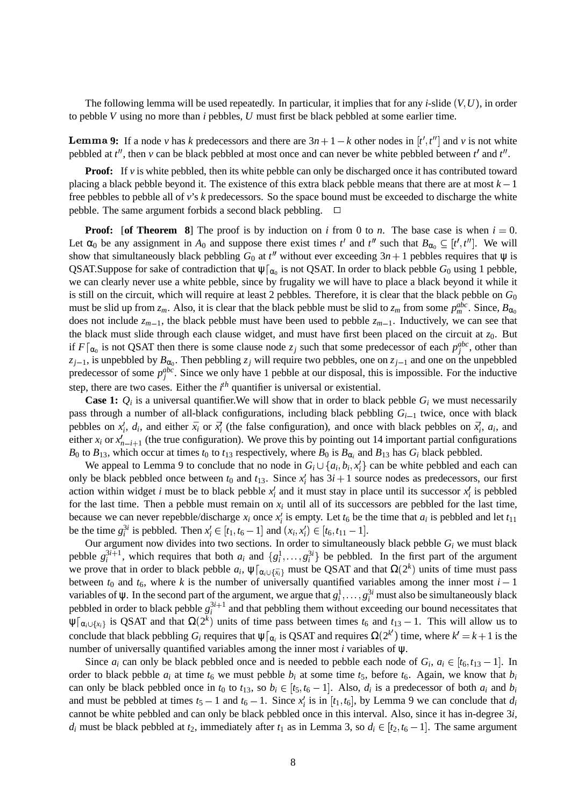The following lemma will be used repeatedly. In particular, it implies that for any *i*-slide  $(V, U)$ , in order to pebble *V* using no more than *i* pebbles, *U* must first be black pebbled at some earlier time.

**Lemma 9:** If a node *v* has *k* predecessors and there are  $3n + 1 - k$  other nodes in  $[t', t'']$  and *v* is not white pebbled at  $t''$ , then  $v$  can be black pebbled at most once and can never be white pebbled between  $t'$  and  $t''$ .

**Proof:** If *v* is white pebbled, then its white pebble can only be discharged once it has contributed toward placing a black pebble beyond it. The existence of this extra black pebble means that there are at most  $k - 1$ free pebbles to pebble all of *v*'s *k* predecessors. So the space bound must be exceeded to discharge the white pebble. The same argument forbids a second black pebbling.

**Proof:** [of Theorem 8] The proof is by induction on *i* from 0 to *n*. The base case is when  $i = 0$ . Let  $\alpha_0$  be any assignment in  $A_0$  and suppose there exist times  $t'$  and  $t''$  such that  $B_{\alpha_0} \subseteq [t', t'']$ . We will show that simultaneously black pebbling  $G_0$  at  $t''$  without ever exceeding  $3n + 1$  pebbles requires that  $\psi$  is QSAT.Suppose for sake of contradiction that  $\psi|_{\alpha_0}$  is not QSAT. In order to black pebble  $G_0$  using 1 pebble, we can clearly never use a white pebble, since by frugality we will have to place a black beyond it while it is still on the circuit, which will require at least 2 pebbles. Therefore, it is clear that the black pebble on  $G_0$ must be slid up from  $z_m$ . Also, it is clear that the black pebble must be slid to  $z_m$  from some  $p_m^{abc}$ . Since,  $B_{\alpha_0}$ does not include  $z_{m-1}$ , the black pebble must have been used to pebble  $z_{m-1}$ . Inductively, we can see that the black must slide through each clause widget, and must have first been placed on the circuit at  $z_0$ . But if  $F|_{\alpha_0}$  is not QSAT then there is some clause node  $z_j$  such that some predecessor of each  $p_j^{abc}$ , other than  $z_{j-1}$ , is unpebbled by  $B_{\alpha_0}$ . Then pebbling  $z_j$  will require two pebbles, one on  $z_{j-1}$  and one on the unpebbled predecessor of some  $p_j^{abc}$ . Since we only have 1 pebble at our disposal, this is impossible. For the inductive step, there are two cases. Either the *i th* quantifier is universal or existential.

**Case 1:**  $Q_i$  is a universal quantifier. We will show that in order to black pebble  $G_i$  we must necessarily pass through a number of all-black configurations, including black pebbling  $G_{i-1}$  twice, once with black pebbles on  $x'_i$ ,  $d_i$ , and either  $\bar{x}_i$  or  $\bar{x}'_i$  (the false configuration), and once with black pebbles on  $\bar{x}'_i$ ,  $a_i$ , and either  $x_i$  or  $x'_{n-i+1}$  (the true configuration). We prove this by pointing out 14 important partial configurations *B*<sup>0</sup> to *B*<sup>13</sup>, which occur at times *t*<sup>0</sup> to *t*<sup>13</sup> respectively, where *B*<sup>0</sup> is *B*<sub> $\alpha$ *i*</sub> and *B*<sup>13</sup> has *G<sub>i</sub>* black pebbled.

We appeal to Lemma 9 to conclude that no node in  $G_i \cup \{a_i, b_i, x_i\}$  can be white pebbled and each can only be black pebbled once between  $t_0$  and  $t_{13}$ . Since  $x_i^j$  has  $3i + 1$  source nodes as predecessors, our first action within widget *i* must be to black pebble  $x_i$  and it must stay in place until its successor  $x_i$  is pebbled for the last time. Then a pebble must remain on  $x_i$  until all of its successors are pebbled for the last time, because we can never repebble/discharge  $x_i$  once  $x_i'$  is empty. Let  $t_6$  be the time that  $a_i$  is pebbled and let  $t_{11}$ be the time  $g_i^{3i}$  is pebbled. Then  $x_i' \in [t_1, t_6 - 1]$  and  $(x_i, x_i') \in [t_6, t_{11} - 1]$ .

Our argument now divides into two sections. In order to simultaneously black pebble  $G_i$  we must black pebble  $g_i^{3i+1}$ , which requires that both  $a_i$  and  $\{g_i^1, \ldots, g_i^{3i}\}$  be pebbled. In the first part of the argument we prove that in order to black pebble  $a_i$ ,  $\psi|_{\alpha_i \cup \{\bar{x}_i\}}$  must be QSAT and that  $\Omega(2^k)$  units of time must pass between  $t_0$  and  $t_6$ , where k is the number of universally quantified variables among the inner most  $i - 1$ variables of  $\psi$ . In the second part of the argument, we argue that  $g_i^1, \ldots, g_i^{3i}$  must also be simultaneously black pebbled in order to black pebble  $g_i^{3i+1}$  and that pebbling them without exceeding our bound necessitates that  $\psi[\alpha_i \cup \{x_i\}]$  is QSAT and that  $\Omega(2^k)$  units of time pass between times  $t_6$  and  $t_{13} - 1$ . This will allow us to conclude that black pebbling  $G_i$  requires that  $\psi|_{\alpha_i}$  is QSAT and requires  $\Omega(2^{k'})$  time, where  $k' = k + 1$  is the number of universally quantified variables among the inner most *i* variables of ψ.

Since  $a_i$  can only be black pebbled once and is needed to pebble each node of  $G_i$ ,  $a_i \in [t_6, t_{13} - 1]$ . In order to black pebble  $a_i$  at time  $t_6$  we must pebble  $b_i$  at some time  $t_5$ , before  $t_6$ . Again, we know that  $b_i$ can only be black pebbled once in  $t_0$  to  $t_{13}$ , so  $b_i \in [t_5, t_6 - 1]$ . Also,  $d_i$  is a predecessor of both  $a_i$  and  $b_i$ and must be pebbled at times  $t_5 - 1$  and  $t_6 - 1$ . Since  $x_i$  is in  $[t_1, t_6]$ , by Lemma 9 we can conclude that  $d_i$ cannot be white pebbled and can only be black pebbled once in this interval. Also, since it has in-degree 3*i*, *d*<sub>*i*</sub> must be black pebbled at *t*<sub>2</sub>, immediately after *t*<sub>1</sub> as in Lemma 3, so  $d_i \in [t_2, t_6 - 1]$ . The same argument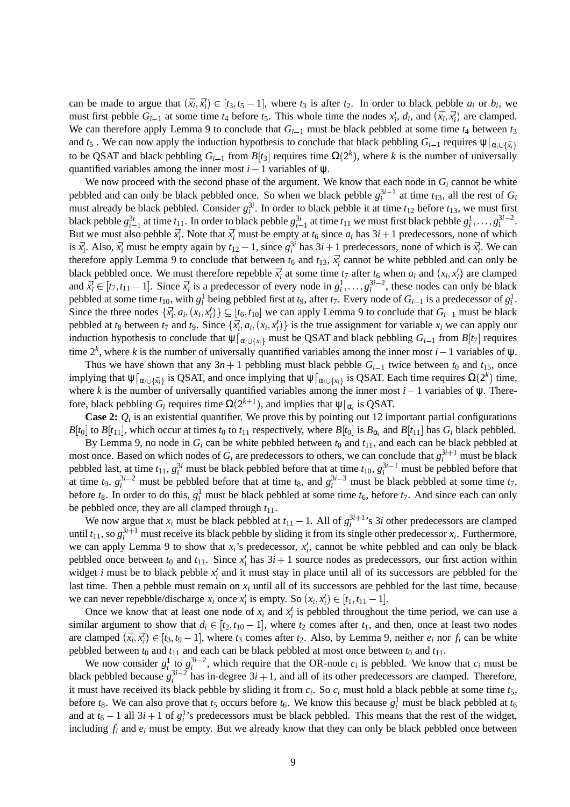can be made to argue that  $(\bar{x}_i, \bar{x}_i') \in [t_3, t_5 - 1]$ , where  $t_3$  is after  $t_2$ . In order to black pebble  $a_i$  or  $b_i$ , we must first pebble  $G_{i-1}$  at some time  $t_4$  before  $t_5$ . This whole time the nodes  $x'_i$ ,  $d_i$ , and  $(\bar{x}_i, \bar{x}'_i)$  are clamped. We can therefore apply Lemma 9 to conclude that  $G_{i-1}$  must be black pebbled at some time  $t_4$  between  $t_3$ and  $t_5$  . We can now apply the induction hypothesis to conclude that black pebbling  $G_{i-1}$  requires  $\psi|_{\alpha_i \cup \{\bar{x}_i\}}$ to be QSAT and black pebbling  $G_{i-1}$  from  $B[t_3]$  requires time  $\Omega(2^k)$ , where k is the number of universally quantified variables among the inner most  $i - 1$  variables of  $\psi$ .

We now proceed with the second phase of the argument. We know that each node in  $G_i$  cannot be white pebbled and can only be black pebbled once. So when we black pebble  $g_i^{3i+1}$  at time  $t_{13}$ , all the rest of  $G_i$ must already be black pebbled. Consider  $g_i^{3i}$ . In order to black pebble it at time  $t_{12}$  before  $t_{13}$ , we must first black pebble  $g_{i-1}^{3i}$  at time  $t_{11}$ . In order to black pebble  $g_{i-1}^{3i}$  at time  $t_{11}$  we must first black pebble  $g_i^1, \ldots, g_i^{3i-2}$ . But we must also pebble  $\bar{x}_i'$ . Note that  $\bar{x}_i'$  must be empty at  $t_6$  since  $a_i$  has  $3i+1$  predecessors, none of which is  $\bar{x}_i'$ . Also,  $\bar{x}_i'$  must be empty again by  $t_{12} - 1$ , since  $g_i^{3i}$  has  $3i + 1$  predecessors, none of which is  $\bar{x}_i'$ . We can therefore apply Lemma 9 to conclude that between  $t_6$  and  $t_{13}$ ,  $\bar{x}'_i$  cannot be white pebbled and can only be black pebbled once. We must therefore repebble  $\vec{x}_i^j$  at some time  $t_7$  after  $t_6$  when  $a_i$  and  $(x_i, x_i^j)$  are clamped and  $\bar{x}_i^j \in [t_7, t_{11} - 1]$ . Since  $\bar{x}_i^j$  is a predecessor of every node in  $g_i^1, \ldots, g_i^{3i-2}$ , these nodes can only be black pebbled at some time  $t_{10}$ , with  $g_i^1$  being pebbled first at  $t_9$ , after  $t_7$ . Every node of  $G_{i-1}$  is a predecessor of  $g_i^1$ . Since the three nodes  $\{\vec{x}_i, a_i, (x_i, x_i')\} \subseteq [t_6, t_{10}]$  we can apply Lemma 9 to conclude that  $G_{i-1}$  must be black pebbled at  $t_8$  between  $t_7$  and  $t_9$ . Since  $\{\bar{x}_i^t, a_i, (x_i, x_i^t)\}\$ is the true assignment for variable  $x_i$  we can apply our induction hypothesis to conclude that  $\psi|_{\alpha_i \cup \{\chi_i\}}$  must be QSAT and black pebbling  $G_{i-1}$  from  $B[t_7]$  requires time  $2^k$ , where *k* is the number of universally quantified variables among the inner most *i* – 1 variables of  $\psi$ .

Thus we have shown that any  $3n + 1$  pebbling must black pebble  $G_{i-1}$  twice between  $t_0$  and  $t_1$ <sub>5</sub>, once implying that  $\psi|_{\alpha_i \cup \{\bar{x}_i\}}$  is QSAT, and once implying that  $\psi|_{\alpha_i \cup \{x_i\}}$  is QSAT. Each time requires  $\Omega(2^k)$  time, where *k* is the number of universally quantified variables among the inner most  $i - 1$  variables of  $\psi$ . Therefore, black pebbling  $G_i$  requires time  $\Omega(2^{k+1})$ , and implies that  $\psi|_{\alpha_i}$  is QSAT.

**Case 2:**  $Q_i$  is an existential quantifier. We prove this by pointing out 12 important partial configurations *B*[*t*<sub>0</sub>] to *B*[*t*<sub>11</sub>], which occur at times *t*<sub>0</sub> to *t*<sub>11</sub> respectively, where *B*[*t*<sub>0</sub>] is *B*<sub> $\alpha_i$ </sub> and *B*[*t*<sub>11</sub>] has *G<sub><i>i*</sub> black pebbled.

By Lemma 9, no node in  $G_i$  can be white pebbled between  $t_0$  and  $t_{11}$ , and each can be black pebbled at most once. Based on which nodes of  $G_i$  are predecessors to others, we can conclude that  $g_i^{3i+1}$  must be black pebbled last, at time  $t_{11}$ ,  $g_i^{3i}$  must be black pebbled before that at time  $t_{10}$ ,  $g_i^{3i-1}$  must be pebbled before that at time  $t_9$ ,  $g_i^{3i-2}$  must be pebbled before that at time  $t_8$ , and  $g_i^{3i-3}$  must be black pebbled at some time  $t_7$ , before  $t_8$ . In order to do this,  $g_i^1$  must be black pebbled at some time  $t_6$ , before  $t_7$ . And since each can only be pebbled once, they are all clamped through  $t_{11}$ .

We now argue that  $x_i$  must be black pebbled at  $t_{11} - 1$ . All of  $g_i^{3i+1}$ 's 3*i* other predecessors are clamped until  $t_{11}$ , so  $g_i^{3i+1}$  must receive its black pebble by sliding it from its single other predecessor  $x_i$ . Furthermore, we can apply Lemma 9 to show that  $x_i$ 's predecessor,  $x_i'$ , cannot be white pebbled and can only be black pebbled once between  $t_0$  and  $t_{11}$ . Since  $x_i^j$  has  $3i + 1$  source nodes as predecessors, our first action within widget *i* must be to black pebble  $x_i'$  and it must stay in place until all of its successors are pebbled for the last time. Then a pebble must remain on  $x_i$  until all of its successors are pebbled for the last time, because we can never repebble/discharge  $x_i$  once  $x'_i$  is empty. So  $(x_i, x'_i) \in [t_1, t_{11} - 1]$ .

Once we know that at least one node of  $x_i$  and  $x'_i$  is pebbled throughout the time period, we can use a similar argument to show that  $d_i \in [t_2, t_{10} - 1]$ , where  $t_2$  comes after  $t_1$ , and then, once at least two nodes are clamped  $(\bar{x}_i, \bar{x}_i') \in [t_3, t_9 - 1]$ , where  $t_3$  comes after  $t_2$ . Also, by Lemma 9, neither  $e_i$  nor  $f_i$  can be white pebbled between  $t_0$  and  $t_{11}$  and each can be black pebbled at most once between  $t_0$  and  $t_{11}$ .

We now consider  $g_i^1$  to  $g_i^{3i-2}$ , which require that the OR-node  $c_i$  is pebbled. We know that  $c_i$  must be black pebbled because  $g_i^{3i-2}$  has in-degree  $3i+1$ , and all of its other predecessors are clamped. Therefore, it must have received its black pebble by sliding it from *c<sup>i</sup>* . So *c<sup>i</sup>* must hold a black pebble at some time *t*5, before  $t_8$ . We can also prove that  $t_5$  occurs before  $t_6$ . We know this because  $g_i^1$  must be black pebbled at  $t_6$ and at  $t_6 - 1$  all  $3i + 1$  of  $g_i^1$ 's predecessors must be black pebbled. This means that the rest of the widget, including  $f_i$  and  $e_i$  must be empty. But we already know that they can only be black pebbled once between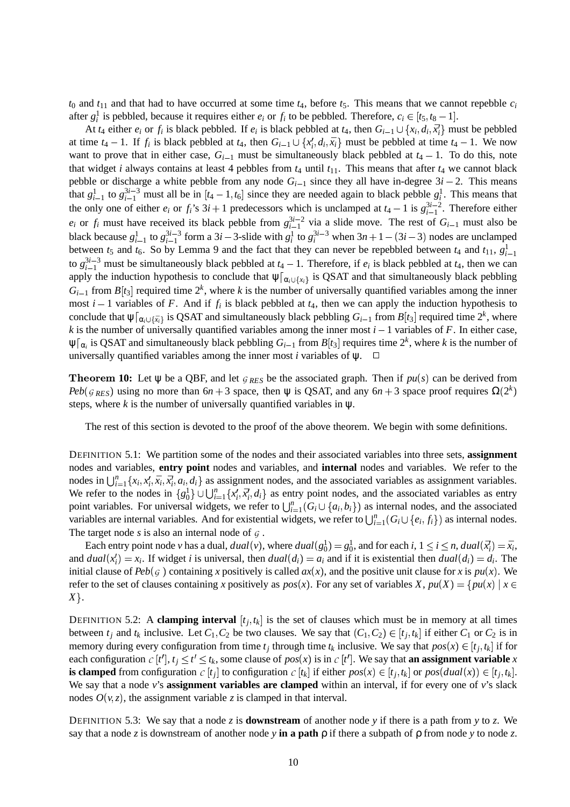$t_0$  and  $t_{11}$  and that had to have occurred at some time  $t_4$ , before  $t_5$ . This means that we cannot repebble  $c_i$ after  $g_i^1$  is pebbled, because it requires either  $e_i$  or  $f_i$  to be pebbled. Therefore,  $c_i \in [t_5, t_8 - 1]$ .

At  $t_4$  either  $e_i$  or  $f_i$  is black pebbled. If  $e_i$  is black pebbled at  $t_4$ , then  $G_{i-1} \cup \{x_i, d_i, \bar{x}_i\}$  must be pebbled at time  $t_4 - 1$ . If  $f_i$  is black pebbled at  $t_4$ , then  $G_{i-1} \cup \{x_i^j, d_i, \bar{x}_i\}$  must be pebbled at time  $t_4 - 1$ . We now want to prove that in either case,  $G_{i-1}$  must be simultaneously black pebbled at  $t_4 - 1$ . To do this, note that widget *i* always contains at least 4 pebbles from  $t_4$  until  $t_{11}$ . This means that after  $t_4$  we cannot black pebble or discharge a white pebble from any node  $G_{i-1}$  since they all have in-degree  $3i - 2$ . This means that  $g_{i-1}^1$  to  $g_{i-1}^{3i-3}$  must all be in  $[t_4-1, t_6]$  since they are needed again to black pebble  $g_i^1$ . This means that the only one of either  $e_i$  or  $f_i$ 's  $3i + 1$  predecessors which is unclamped at  $t_4 - 1$  is  $g_{i-1}^{3i-2}$ . Therefore either  $e_i$  or  $f_i$  must have received its black pebble from  $g_{i-1}^{3i-2}$  via a slide move. The rest of  $G_{i-1}$  must also be black because  $g_{i-1}^1$  to  $g_{i-1}^{3i-3}$  form a 3*i* – 3-slide with  $g_i^1$  to  $g_i^{3i-3}$  when  $3n+1-(3i-3)$  nodes are unclamped between  $t_5$  and  $t_6$ . So by Lemma 9 and the fact that they can never be repebbled between  $t_4$  and  $t_{11}$ ,  $g_{i-1}^1$ to  $g_{i-1}^{3i-3}$  must be simultaneously black pebbled at  $t_4 - 1$ . Therefore, if  $e_i$  is black pebbled at  $t_4$ , then we can apply the induction hypothesis to conclude that  $\psi|_{\alpha_i \cup \{x_i\}}$  is QSAT and that simultaneously black pebbling  $G_{i-1}$  from  $B[t_3]$  required time  $2^k$ , where k is the number of universally quantified variables among the inner most  $i-1$  variables of F. And if  $f_i$  is black pebbled at  $t_4$ , then we can apply the induction hypothesis to conclude that  $\psi|_{\alpha_i \cup \{\bar{x}_i\}}$  is QSAT and simultaneously black pebbling  $G_{i-1}$  from  $B[t_3]$  required time  $2^k$ , where *k* is the number of universally quantified variables among the inner most  $i - 1$  variables of *F*. In either case,  $\psi[\alpha_i]$  is QSAT and simultaneously black pebbling  $G_{i-1}$  from  $B[t_3]$  requires time  $2^k$ , where k is the number of universally quantified variables among the inner most *i* variables of  $\psi$ .  $\Box$ 

**Theorem 10:** Let  $\psi$  be a QBF, and let  $g_{RES}$  be the associated graph. Then if  $pu(s)$  can be derived from *Peb*( $g_{RES}$ ) using no more than  $6n + 3$  space, then  $\psi$  is QSAT, and any  $6n + 3$  space proof requires  $\Omega(2^k)$  $\mathbf{r}$  and  $\mathbf{r}$  and  $\mathbf{r}$  and  $\mathbf{r}$  and  $\mathbf{r}$  and  $\mathbf{r}$  and  $\mathbf{r}$  and  $\mathbf{r}$  and  $\mathbf{r}$  and  $\mathbf{r}$  and  $\mathbf{r}$  and  $\mathbf{r}$  and  $\mathbf{r}$  and  $\mathbf{r}$  and  $\mathbf{r}$  and  $\mathbf{r}$  and  $\mathbf{r}$  and steps, where  $k$  is the number of universally quantified variables in  $\psi$ .

The rest of this section is devoted to the proof of the above theorem. We begin with some definitions.

DEFINITION 5.1: We partition some of the nodes and their associated variables into three sets, **assignment** nodes and variables, **entry point** nodes and variables, and **internal** nodes and variables. We refer to the nodes in  $\bigcup_{i=1}^n \{x_i, x'_i, \bar{x}_i, \bar{x}'_i, a_i, d_i\}$  as assignment nodes, and the associated variables as assignment variables. We refer to the nodes in  $\{g_0^1\} \cup \bigcup_{i=1}^n \{x_i', \bar{x}_i', d_i\}$  as entry point nodes, and the associated variables as entry point variables. For universal widgets, we refer to  $\bigcup_{i=1}^{n} (G_i \cup \{a_i, b_i\})$  as internal nodes, and the associated variables are internal variables. And for existential widgets, we refer to  $\bigcup_{i=1}^n (G_i \cup \{e_i, f_i\})$  as internal nodes. The target node  $s$  is also an internal node of  $\varsigma$ .

Each entry point node *v* has a dual,  $dual(v)$ , where  $dual(g_0^1) = g_0^1$ , and for each *i*,  $1 \le i \le n$ ,  $dual(\vec{x_i}) = \bar{x_i}$ , and  $dual(x_i') = x_i$ . If widget *i* is universal, then  $dual(d_i) = a_i$  and if it is existential then  $dual(d_i) = d_i$ . The initial clause of  $Peb(g)$  containing *x* positively is called  $ax(x)$ , and the positive unit clause for *x* is  $pu(x)$ . We refer to the set of clauses containing *x* positively as  $pos(x)$ . For any set of variables *X*,  $pu(X) = \{pu(x) | x \in$  $X$  } .

DEFINITION 5.2: A **clamping interval**  $[t_j, t_k]$  is the set of clauses which must be in memory at all times between  $t_j$  and  $t_k$  inclusive. Let  $C_1, C_2$  be two clauses. We say that  $(C_1, C_2) \in [t_j, t_k]$  if either  $C_1$  or  $C_2$  is in memory during every configuration from time  $t_j$  through time  $t_k$  inclusive. We say that  $pos(x) \in [t_j, t_k]$  if for each configuration  $c[t'], t_j \le t' \le t_k$ , some clause of  $pos(x)$  is in  $c[t']$ . We say that **an assignment variable**  $x$ is clamped from configuration  $c[t_j]$  to configuration  $c[t_k]$  if either  $pos(x) \in [t_j, t_k]$  or  $pos(dual(x)) \in [t_j, t_k]$ . We say that a node *v*'s **assignment variables are clamped** within an interval, if for every one of *v*'s slack nodes  $O(v, z)$ , the assignment variable *z* is clamped in that interval.

DEFINITION 5.3: We say that a node *z* is **downstream** of another node *y* if there is a path from *y* to *z*. We say that a node *z* is downstream of another node *y* **in a path** ρ if there a subpath of ρ from node *y* to node *z*.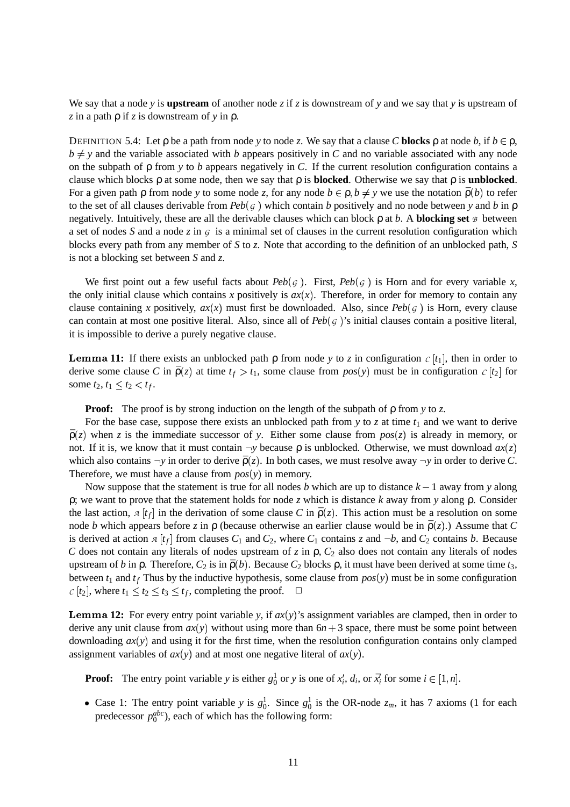We say that a node *y* is **upstream** of another node *z* if *z* is downstream of *y* and we say that *y* is upstream of *z* in a path ρ if *z* is downstream of *y* in ρ.

DEFINITION 5.4: Let  $\rho$  be a path from node *y* to node *z*. We say that a clause *C* blocks  $\rho$  at node *b*, if  $b \in \rho$ ,  $b \neq y$  and the variable associated with *b* appears positively in *C* and no variable associated with any node on the subpath of ρ from *y* to *b* appears negatively in *C*. If the current resolution configuration contains a clause which blocks ρ at some node, then we say that ρ is **blocked**. Otherwise we say that ρ is **unblocked**. For a given path  $\rho$  from node *y* to some node *z*, for any node  $b \in \rho, b \neq y$  we use the notation  $\bar{\rho}(b)$  to refer to the set of all clauses derivable from  $Peb(g)$  which contain *b* positively and no node between *y* and *b* in  $\rho$ negatively. Intuitively, these are all the derivable clauses which can block  $\rho$  at  $b$ . A **blocking set**  $\beta$  between a set of nodes *S* and a node *z* in  $G$  is a minimal set of clauses in the current resolution configuration which blocks every path from any member of *S* to *z*. Note that according to the definition of an unblocked path, *S* is not a blocking set between *S* and *z*.

We first point out a few useful facts about  $Peb(g)$ . First,  $Peb(g)$  is Horn and for every variable x, the only initial clause which contains x positively is  $ax(x)$ . Therefore, in order for memory to contain any clause containing x positively,  $ax(x)$  must first be downloaded. Also, since  $Peb(g)$  is Horn, every clause can contain at most one positive literal. Also, since all of  $Peb(g)$ 's initial clauses contain a positive literal, it is impossible to derive a purely negative clause.

**11:** If there exists an unblocked path  $\rho$  from node *y* to *z* in configuration  $c[t_1]$ , then in order to derive some clause C in  $\bar{\rho}(z)$  at time  $t_f > t_1$ , some clause from  $pos(y)$  must be in configuration  $c[t_2]$  for some  $t_2, t_1 \le t_2 < t_f$ .

**Proof:** The proof is by strong induction on the length of the subpath of ρ from *y* to *z*.

For the base case, suppose there exists an unblocked path from  $y$  to  $z$  at time  $t_1$  and we want to derive  $\bar{\rho}(z)$  when *z* is the immediate successor of *y*. Either some clause from  $pos(z)$  is already in memory, or not. If it is, we know that it must contain  $\neg y$  because  $\rho$  is unblocked. Otherwise, we must download  $ax(z)$ which also contains  $\neg y$  in order to derive  $\bar{\rho}(z)$ . In both cases, we must resolve away  $\neg y$  in order to derive *C*. Therefore, we must have a clause from  $pos(y)$  in memory.

Now suppose that the statement is true for all nodes *b* which are up to distance  $k - 1$  away from *y* along ρ; we want to prove that the statement holds for node *z* which is distance *k* away from *y* along ρ. Consider the last action,  $A[t_f]$  in the derivation of some clause *C* in  $\bar{p}(z)$ . This action must be a resolution on some node *b* which appears before *z* in  $\rho$  (because otherwise an earlier clause would be in  $\bar{\rho}(z)$ .) Assume that *C* is derived at action  $A[t_f]$  from clauses  $C_1$  and  $C_2$ , where  $C_1$  contains  $\zeta$  and  $\neg b$ , and  $C_2$  contains  $b$ . Because *C* does not contain any literals of nodes upstream of *z* in  $\rho$ ,  $C_2$  also does not contain any literals of nodes upstream of *b* in  $\rho$ . Therefore,  $C_2$  is in  $\bar{\rho}(b)$ . Because  $C_2$  blocks  $\rho$ , it must have been derived at some time  $t_3$ , between  $t_1$  and  $t_f$  Thus by the inductive hypothesis, some clause from  $pos(y)$  must be in some configuration  $c[t_2]$ , where  $t_1 \le t_2 \le t_3 \le t_f$ , completing the proof.  $\Box$ 

**Lemma 12:** For every entry point variable y, if  $ax(y)$ 's assignment variables are clamped, then in order to derive any unit clause from  $ax(y)$  without using more than  $6n + 3$  space, there must be some point between downloading  $ax(y)$  and using it for the first time, when the resolution configuration contains only clamped assignment variables of  $ax(y)$  and at most one negative literal of  $ax(y)$ .

**Proof:** The entry point variable *y* is either  $g_0^1$  or *y* is one of  $x_i^j$ ,  $d_i$ , or  $\bar{x}_i^j$  for some  $i \in [1, n]$ .

• Case 1: The entry point variable *y* is  $g_0^1$ . Since  $g_0^1$  is the OR-node  $z_m$ , it has 7 axioms (1 for each predecessor  $p_0^{abc}$ ), each of which has the following form: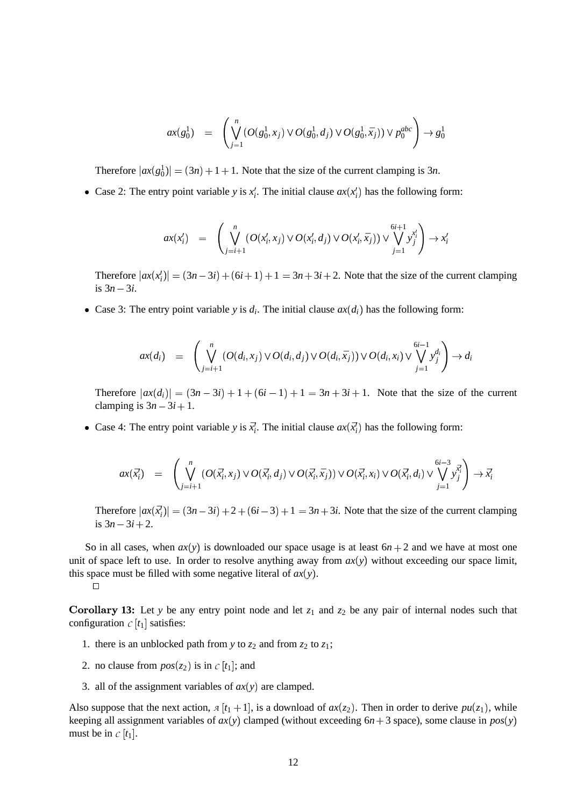$$
ax(g_0^1) = \left( \bigvee_{j=1}^n (O(g_0^1, x_j) \vee O(g_0^1, d_j) \vee O(g_0^1, \bar{x}_j)) \vee p_0^{abc} \right) \to g_0^1
$$

Therefore  $|ax(g_0^1)| = (3n)$   $(3n) + 1 + 1$ . Note that the size of the current clamping is 3*n*.

• Case 2: The entry point variable *y* is  $x_i^j$ . The initial clause  $ax(x_i^j)$  has the following form:

$$
ax(x'_i) = \left(\bigvee_{j=i+1}^n (O(x'_i, x_j) \vee O(x'_i, d_j) \vee O(x'_i, \bar{x}_j)) \vee \bigvee_{j=1}^{6i+1} y_j^{x'_i}\right) \rightarrow x'_i
$$

Therefore  $|ax(x_i)| = (3n)$   $(3n-3i) + (6i+1) + 1 = 3n+3i+2$ . Note that the size of the current clamping is  $3n - 3i$ .

• Case 3: The entry point variable *y* is  $d_i$ . The initial clause  $ax(d_i)$  has the following form:

$$
ax(d_i) = \left(\bigvee_{j=i+1}^{n} (O(d_i,x_j) \vee O(d_i,d_j) \vee O(d_i,\bar{x}_j)) \vee O(d_i,x_i) \vee \bigvee_{j=1}^{6i-1} y_j^{d_i}\right) \rightarrow d_i
$$

Therefore  $|ax(d_i)| = (3n)$   $(3n - 3i) + 1 + (6i - 1) + 1 = 3n + 3i + 1$ . Note that the size of the current clamping is  $3n - 3i + 1$ .

• Case 4: The entry point variable *y* is  $\bar{x}_i^j$ . The initial clause  $ax(\bar{x}_i^j)$  has the following form:

$$
ax(\vec{x}_i') = \left(\bigvee_{j=i+1}^n (O(\vec{x}_i', x_j) \vee O(\vec{x}_i', d_j) \vee O(\vec{x}_i', \bar{x}_j)) \vee O(\vec{x}_i', x_i) \vee O(\vec{x}_i', d_i) \vee \bigvee_{j=1}^{6i-3} \vec{x}_j^{\vec{x}_j} \right) \rightarrow \vec{x}_i'
$$

Therefore  $|ax(\vec{x}_i)| = (3n)$   $(3n-3i) + 2 + (6i-3) + 1 = 3n + 3i$ . Note that the size of the current clamping is  $3n - 3i + 2$ .

So in all cases, when  $ax(y)$  is downloaded our space usage is at least  $6n + 2$  and we have at most one unit of space left to use. In order to resolve anything away from  $ax(y)$  without exceeding our space limit, this space must be filled with some negative literal of  $ax(y)$ .

**Corollary 13:** Let *y* be any entry point node and let  $z_1$  and  $z_2$  be any pair of internal nodes such that configuration  $c[t_1]$  satisfies:

- 1. there is an unblocked path from *y* to  $z_2$  and from  $z_2$  to  $z_1$ ;
- 2. no clause from  $pos(z_2)$  is in  $c[t_1]$ ; and
- 3. all of the assignment variables of  $ax(y)$  are clamped.

Also suppose that the next action,  $A[t_1+1]$ , is a download of  $ax(z_2)$ . Then in order to derive  $pu(z_1)$ , while keeping all assignment variables of  $ax(y)$  clamped (without exceeding  $6n + 3$  space), some clause in  $pos(y)$ must be in  $c \mid t_1$ .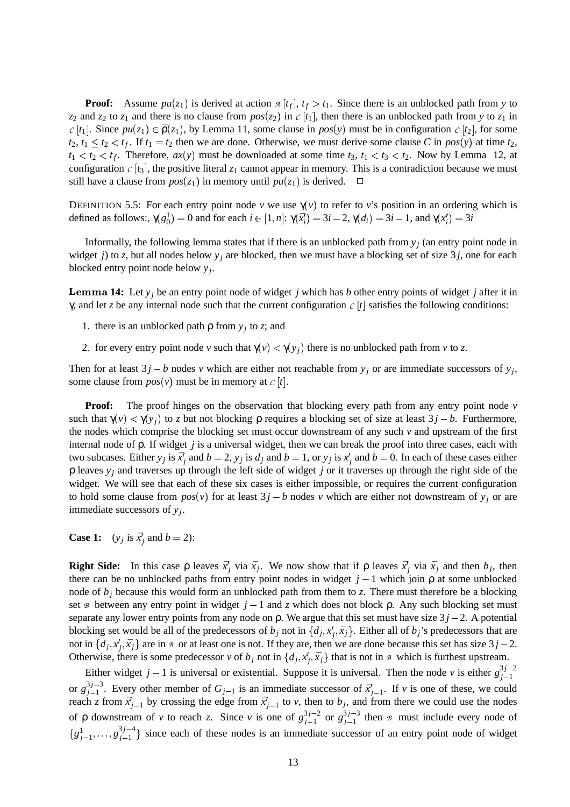**Proof:** Assume  $pu(z_1)$  is derived at action  $A[t_f], t_f > t_1$ . Since there is an unblocked path from y to  $z_2$  and  $z_2$  to  $z_1$  and there is no clause from  $pos(z_2)$  in  $c[t_1]$ , then there is an unblocked path from y to  $z_1$  in  $c[t_1]$ . Since  $pu(z_1) \in \bar{\rho}(z_1)$ , by Lemma 11, some clause in  $pos(y)$  must be in configuration  $c[t_2]$ , for some  $t_2, t_1 \leq t_2 < t_f$ . If  $t_1 = t_2$  then we are done. Otherwise, we must derive some clause *C* in  $pos(y)$  at time  $t_2$ ,  $t_1 < t_2 < t_f$ . Therefore,  $ax(y)$  must be downloaded at some time  $t_3$ ,  $t_1 < t_3 < t_2$ . Now by Lemma 12, at configuration  $C[t_3]$ , the positive literal  $z_1$  cannot appear in memory. This is a contradiction because we must still have a clause from  $pos(z_1)$  in memory until  $pu(z_1)$  is derived.  $\Box$ 

DEFINITION 5.5: For each entry point node *v* we use  $\gamma(v)$  to refer to *v*'s position in an ordering which is defined as follows:,  $\gamma(g_0^1) = 0$  and for each  $i \in [1, n]$ :  $\gamma(\bar{x}_i^j) = 3i - 2$ ,  $\gamma(d_i) = 3i - 1$ , and  $\gamma(x_i^j) = 3i$ 

Informally, the following lemma states that if there is an unblocked path from  $y_j$  (an entry point node in widget *j*) to *z*, but all nodes below  $y_j$  are blocked, then we must have a blocking set of size 3*j*, one for each blocked entry point node below *y<sup>j</sup>* .

 **14:** Let *y<sup>j</sup>* be an entry point node of widget *j* which has *b* other entry points of widget *j* after it in γ, and let *z* be any internal node such that the current configuration  $C[t]$  satisfies the following conditions:

- 1. there is an unblocked path  $\rho$  from  $y_j$  to *z*; and
- 2. for every entry point node *v* such that  $\gamma(v) < \gamma(y_j)$  there is no unblocked path from *v* to *z*.

Then for at least  $3j - b$  nodes *v* which are either not reachable from  $y_j$  or are immediate successors of  $y_j$ , some clause from  $pos(v)$  must be in memory at  $c[t]$ .

**Proof:** The proof hinges on the observation that blocking every path from any entry point node *v* such that  $\gamma(v) < \gamma(y_j)$  to *z* but not blocking  $\rho$  requires a blocking set of size at least  $3j - b$ . Furthermore, the nodes which comprise the blocking set must occur downstream of any such *v* and upstream of the first internal node of ρ. If widget *j* is a universal widget, then we can break the proof into three cases, each with two subcases. Either  $y_j$  is  $\bar{x}_j'$  and  $b = 2$ ,  $y_j$  is  $d_j$  and  $b = 1$ , or  $y_j$  is  $x_j'$  and  $b = 0$ . In each of these cases either ρ leaves *y<sup>j</sup>* and traverses up through the left side of widget *j* or it traverses up through the right side of the widget. We will see that each of these six cases is either impossible, or requires the current configuration to hold some clause from  $pos(v)$  for at least  $3j - b$  nodes *v* which are either not downstream of  $y_j$  or are immediate successors of *y<sup>j</sup>* .

**Case 1:**  $(y_j \text{ is } \bar{x}'_j \text{ and } b = 2)$ :

**Right Side:** In this case  $\rho$  leaves  $\vec{x}_j$  via  $\bar{x}_j$ . We now show that if  $\rho$  leaves  $\vec{x}_j$  via  $\bar{x}_j$  and then  $b_j$ , then there can be no unblocked paths from entry point nodes in widget  $j - 1$  which join  $\rho$  at some unblocked node of  $b_j$  because this would form an unblocked path from them to *z*. There must therefore be a blocking set  $\Phi$  between any entry point in widget  $j-1$  and  $z$  which does not block  $\rho$ . Any such blocking set must separate any lower entry points from any node on  $\rho$ . We argue that this set must have size  $3j - 2$ . A potential blocking set would be all of the predecessors of  $b_j$  not in  $\{d_j, x'_j, \bar{x}_j\}$ . Either all of  $b_j$ 's predecessors that are not in  $\{d_j, x'_j, \bar{x}_j\}$  are in  $\infty$  or at least one is not. If they are, then we are done because this set has size  $3j-2$ . Otherwise, there is some predecessor *v* of  $b_j$  not in  $\{d_j, x'_j, \bar{x}_j\}$  that is not in  $\mathcal{B}$  which is furthest upstream.

Either widget  $j-1$  is universal or existential. Suppose it is universal. Then the node *v* is either  $g_{i-1}^{3j-2}$ *j*-1 or  $g_{i-1}^{3j-3}$  $j<sup>j-3</sup>$ . Every other member of  $G_{j-1}$  is an immediate successor of  $\bar{x}'_{j-1}$ . If *v* is one of these, we could reach *z* from  $\vec{x}'_{j-1}$  by crossing the edge from  $\vec{x}'_{j-1}$  to *v*, then to  $b_j$ , and from there we could use the nodes of  $\rho$  downstream of *v* to reach *z*. Since *v* is one of  $g_{i-1}^{3j-2}$  $j=1$  or  $g_{j-1}^{3j-3}$  $j_{-1}^{(3)}$  then B must include every node of  $\{g_{j-1}^1, \ldots, g_{j-1}^{3j-4}\}$  $j_{-1}^{(3)}$  since each of these nodes is an immediate successor of an entry point node of widget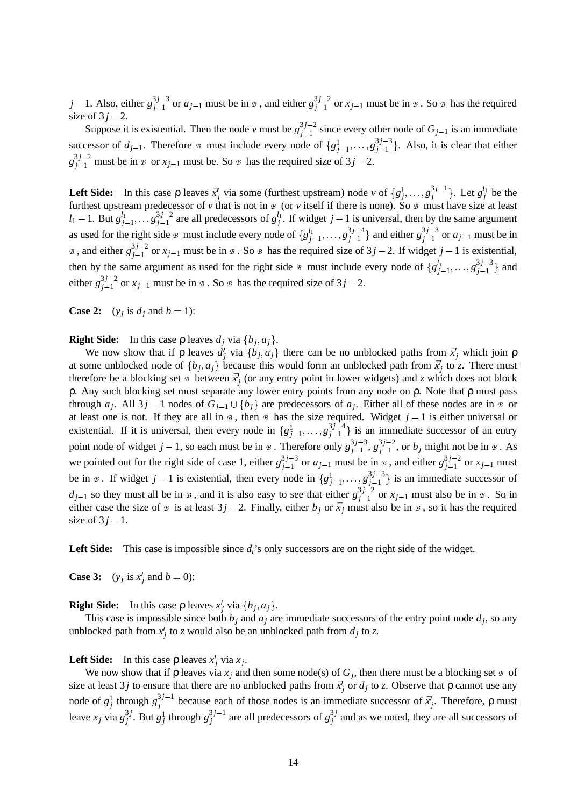*j* – 1. Also, either  $g_{i-1}^{3j-3}$  $j_{j-1}^{3j-3}$  or  $a_{j-1}$  must be in  $\beta$ , and either  $g_{j-1}^{3j-2}$  $j_{j-1}^{(3)}$  or  $x_{j-1}$  must be in  $\mathcal{B}$ . So  $\mathcal{B}$  has the required size of  $3j - 2$ .

Suppose it is existential. Then the node *v* must be  $g_{i-1}^{3j-2}$  $S_{j-1}^{(3)}$  since every other node of  $G_{j-1}$  is an immediate successor of  $d_{j-1}$ . Therefore  $\beta$  must include every node of  $\{g_{j-1}^1, \ldots, g_{j-1}^{3j-3}\}$  $j_{j-1}^{(3)}$ . Also, it is clear that either  $g_{j-1}^{3j-2}$  must be in  $\infty$  or  $x_{j-1}$  must be. So  $\infty$  has the required size of  $3j-2$ .

**Left Side:** In this case  $\rho$  leaves  $\bar{x}^j_j$  via some (furthest upstream) node *v* of  $\{g^1_j, \ldots, g^{3j-1}_j\}$  $\{g_j^{3j-1}\}\$ . Let  $g_j^{l_1}$  be the furthest upstream predecessor of  $\nu$  that is not in  $\phi$  (or  $\nu$  itself if there is none). So  $\phi$  must have size at least *l*<sub>1</sub> - 1. But  $g_{j-1}^{l_1}, \ldots, g_{j-1}^{3j-2}$  $j_{j-1}^{3j-2}$  are all predecessors of  $g_j^{l_1}$ . If widget  $j-1$  is universal, then by the same argument as used for the right side  $\beta$  must include every node of  $\{g_{j-1}^{l_1}, \ldots, g_{j-1}^{3j-4}\}$  $\binom{3j-4}{j-1}$  and either  $g_{j-1}^{3j-3}$  $j_{j-1}^{(3)}$  or  $a_{j-1}$  must be in  $\beta$ , and either  $g_{i-1}^{3j-2}$  $j_{j-1}^{(3)}$  or  $x_{j-1}$  must be in  $\beta$ . So  $\beta$  has the required size of  $3j-2$ . If widget  $j-1$  is existential, then by the same argument as used for the right side  $\beta$  must include every node of  $\{g_{j-1}^{l_1}, \ldots, g_{j-1}^{3j-3}\}$  $\{j-1}^{(3)}\}$  and either  $g_{i-1}^{3j-2}$  $j_{j-1}^{3/2}$  or  $x_{j-1}$  must be in  $\beta$ . So  $\beta$  has the required size of  $3j-2$ .

**Case 2:**  $(y_j \text{ is } d_j \text{ and } b = 1)$ :

**Right Side:** In this case  $\rho$  leaves  $d_j$  via  $\{b_j, a_j\}$ .

We now show that if  $\rho$  leaves  $d_j$  via  $\{b_j, a_j\}$  there can be no unblocked paths from  $\bar{x}_j$  which join  $\rho$ at some unblocked node of  $\{b_j, a_j\}$  because this would form an unblocked path from  $\vec{x}_j$  to *z*. There must therefore be a blocking set  $\mathcal{B}$  between  $\bar{x}'_j$  (or any entry point in lower widgets) and *z* which does not block ρ. Any such blocking set must separate any lower entry points from any node on ρ. Note that ρ must pass through  $a_j$ . All  $3j - 1$  nodes of  $G_{j-1} \cup \{b_j\}$  are predecessors of  $a_j$ . Either all of these nodes are in  $\infty$  or at least one is not. If they are all in  $\beta$ , then  $\beta$  has the size required. Widget  $j-1$  is either universal or existential. If it is universal, then every node in  $\{g_{j-1}^1, \ldots, g_{j-1}^{3j-4}\}$  $j_{-1}^{(3)}$  is an immediate successor of an entry point node of widget  $j-1$ , so each must be in  $\beta$ . Therefore only  $g_{j-1}^{3j-3}$ 3*j*-3,  $g_{j-1}^{3j-2}$  $j_{j-1}^{(3)}$ , or  $b_j$  might not be in  $\beta$ . As we pointed out for the right side of case 1, either  $g_{i-1}^{3j-3}$  $j_{j-1}^{3j-3}$  or  $a_{j-1}$  must be in  $\infty$ , and either  $g_{j-1}^{3j-2}$  $j-1$  or  $x_{j-1}$  must be in  $\mathcal{B}$ . If widget  $j-1$  is existential, then every node in  $\{g_{j-1}^1, \ldots, g_{j-1}^{3j-3}\}$  $j_{-1}^{(3)}$  is an immediate successor of  $d_{j-1}$  so they must all be in  $\beta$ , and it is also easy to see that either  $g_{j-1}^{3j-2}$  $j_{j-1}^{(3)}$  or  $x_{j-1}$  must also be in  $\mathcal{B}$ . So in either case the size of  $\mathcal{B}$  is at least  $3j - 2$ . Finally, either  $b_j$  or  $\bar{x}_j$  must also be in  $\mathcal{B}$ , so it has the required size of  $3j-1$ .

**Left Side:** This case is impossible since *di*'s only successors are on the right side of the widget.

**Case 3:**  $(y_j \text{ is } x'_j \text{ and } b = 0)$ :

**Right Side:** In this case  $\rho$  leaves  $x'_j$  via  $\{b_j, a_j\}$ .

This case is impossible since both  $b_j$  and  $a_j$  are immediate successors of the entry point node  $d_j$ , so any unblocked path from  $x'_j$  to *z* would also be an unblocked path from  $d_j$  to *z*.

#### Left Side: In this case  $\rho$  leaves  $x'_j$  via  $x_j$ .

We now show that if  $\rho$  leaves via  $x_j$  and then some node(s) of  $G_j$ , then there must be a blocking set  $\mathcal B$  of size at least 3*j* to ensure that there are no unblocked paths from  $\bar{x}'_j$  or  $d_j$  to *z*. Observe that  $\rho$  cannot use any node of  $g_j^1$  through  $g_j^{3j-1}$  $j_j^{(n)}$  because each of those nodes is an immediate successor of  $\bar{x}_j^j$ . Therefore, ρ must leave  $x_j$  via  $g_j^{3j}$  $j^3$ *j*. But  $g_j^1$  through  $g_j^{3j-1}$  $g_j^{3j-1}$  are all predecessors of  $g_j^{3j}$  $j_j^{\prime}$  and as we noted, they are all successors of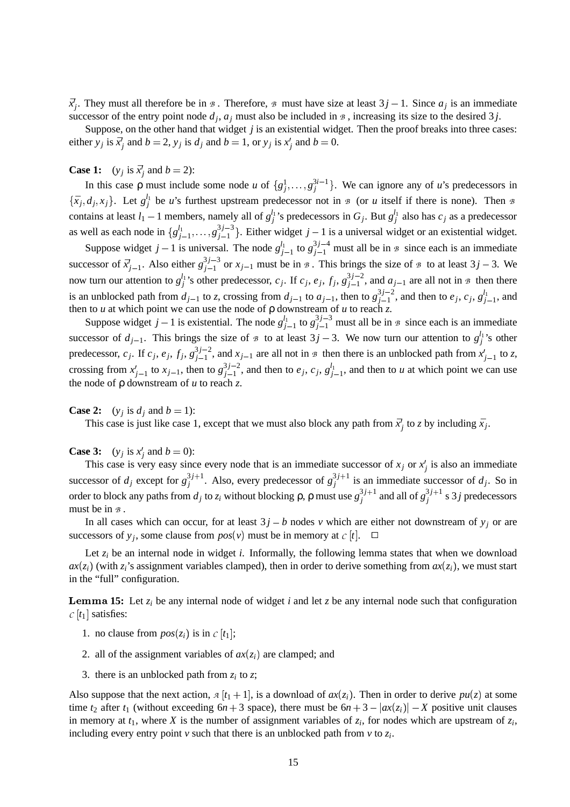$\vec{x}_j$ . They must all therefore be in  $\beta$ . Therefore,  $\beta$  must have size at least  $3j - 1$ . Since  $a_j$  is an immediate successor of the entry point node  $d_j$ ,  $a_j$  must also be included in  $\beta$ , increasing its size to the desired 3*j*.

Suppose, on the other hand that widget *j* is an existential widget. Then the proof breaks into three cases: either *y<sub>j</sub>* is  $\bar{x}_j^l$  and  $b = 2$ , *y<sub>j</sub>* is  $d_j$  and  $b = 1$ , or *y<sub>j</sub>* is  $x_j^l$  and  $b = 0$ .

#### **Case 1:**  $(y_j \text{ is } \bar{x}'_j \text{ and } b = 2)$ :

In this case p must include some node *u* of  $\{g_j^1, \ldots, g_j^{3i-1}\}\$ . We can ignore any of *u*'s predecessors in  $\{\bar{x}_j, d_j, x_j\}$ . Let  $g_j^{l_1}$  be *u*'s furthest upstream predecessor not in *B* (or *u* itself if there is none). Then *B* contains at least  $l_1 - 1$  members, namely all of  $g_j^{l_1}$ 's predecessors in  $G_j$ . But  $g_j^{l_1}$  also has  $c_j$  as a predecessor as well as each node in  $\{g_{j-1}^{l_1}, \ldots, g_{j-1}^{3j-3}\}$  $j_{j-1}^{(3)}$ . Either widget  $j-1$  is a universal widget or an existential widget.

Suppose widget  $j-1$  is universal. The node  $g_{j-1}^{l_1}$  to  $g_{j-1}^{3j-4}$  must all be in  $\infty$  since each is an immediate successor of  $\bar{x}^j_{j-1}$ . Also either  $g^{3j-3}_{j-1}$  $j_{j-1}^{(3)}$  or  $x_{j-1}$  must be in  $\beta$ . This brings the size of  $\beta$  to at least  $3j-3$ . We now turn our attention to  $g_j^{l_1}$ 's other predecessor,  $c_j$ . If  $c_j$ ,  $e_j$ ,  $f_j$ ,  $g_{j-1}^{3j-2}$  $j_{j-1}^{(3)}$ , and  $a_{j-1}$  are all not in  $\beta$  then there is an unblocked path from  $d_{j-1}$  to *z*, crossing from  $d_{j-1}$  to  $a_{j-1}$ , then to  $g_{j-1}^{3j-2}$  $j_{j-1}^{3j-2}$ , and then to  $e_j$ ,  $c_j$ ,  $g_{j-1}^{l_1}$ , and then to *u* at which point we can use the node of  $\rho$  downstream of *u* to reach *z*.

Suppose widget  $j-1$  is existential. The node  $g_{j-1}^{l_1}$  to  $g_{j-1}^{3j-3}$  must all be in  $\infty$  since each is an immediate successor of  $d_{j-1}$ . This brings the size of  $\beta$  to at least  $3j-3$ . We now turn our attention to  $g_j^{l_1}$ 's other predecessor, *c<sub>j</sub>*. If *c<sub>j</sub>*, *e<sub>j</sub>*, *f<sub>j</sub>*,  $g_{j-1}^{3j-2}$  $j_{j-1}^{(3)}$ , and  $x_{j-1}$  are all not in  $\beta$  then there is an unblocked path from  $x'_{j-1}$  to  $z$ , crossing from  $x_{j-1}^j$  to  $x_{j-1}$ , then to  $g_{j-1}^{3j-2}$  $j_{j-1}^{3j-2}$ , and then to *e<sub>j</sub>*, *c<sub>j</sub>*, *g*<sup> $l_1$ </sup><sub>j-1</sub>, and then to *u* at which point we can use the node of ρ downstream of *u* to reach *z*.

#### **Case 2:**  $(y_j \text{ is } d_j \text{ and } b = 1)$ :

This case is just like case 1, except that we must also block any path from  $\bar{x}_j$  to *z* by including  $\bar{x}_j$ .

#### **Case 3:**  $(y_j \text{ is } x'_j \text{ and } b = 0)$ :

This case is very easy since every node that is an immediate successor of  $x_j$  or  $x'_j$  is also an immediate successor of  $d_j$  except for  $g_j^{3j+1}$  $j_j^{3j+1}$ . Also, every predecessor of  $g_j^{3j+1}$  $j_j^{(3)}$  is an immediate successor of  $d_j$ . So in order to block any paths from  $d_j$  to  $z_i$  without blocking  $\rho$ ,  $\rho$  must use  $g_j^{3j+1}$  $j_j^{3j+1}$  and all of  $g_j^{3j+1}$  $j_j^{(3)}$  s 3 *j* predecessors must be in  $\beta$ .

In all cases which can occur, for at least  $3j - b$  nodes *v* which are either not downstream of  $y_j$  or are successors of  $y_j$ , some clause from  $pos(v)$  must be in memory at  $c[t]$ .  $\Box$ 

Let  $z_i$  be an internal node in widget  $i$ . Informally, the following lemma states that when we download  $ax(z_i)$  (with  $z_i$ 's assignment variables clamped), then in order to derive something from  $ax(z_i)$ , we must start in the "full" configuration.

**Lemma 15:** Let  $z_i$  be any internal node of widget  $i$  and let  $z$  be any internal node such that configuration  $c \mid t_1$  satisfies:

- 1. no clause from  $pos(z_i)$  is in  $c[t_1]$ ;
- 2. all of the assignment variables of  $ax(z_i)$  are clamped; and
- 3. there is an unblocked path from  $z_i$  to  $z$ ;

Also suppose that the next action,  $A[t_1+1]$ , is a download of  $ax(z_i)$ . Then in order to derive  $pu(z)$  at some time  $t_2$  after  $t_1$  (without exceeding  $6n + 3$  space), there must be  $6n + 3 - |ax(z_i)| - X$  positive unit clauses in memory at  $t_1$ , where  $X$  is the number of assignment variables of  $z_i$ , for nodes which are upstream of  $z_i$ , including every entry point  $v$  such that there is an unblocked path from  $v$  to  $z_i$ .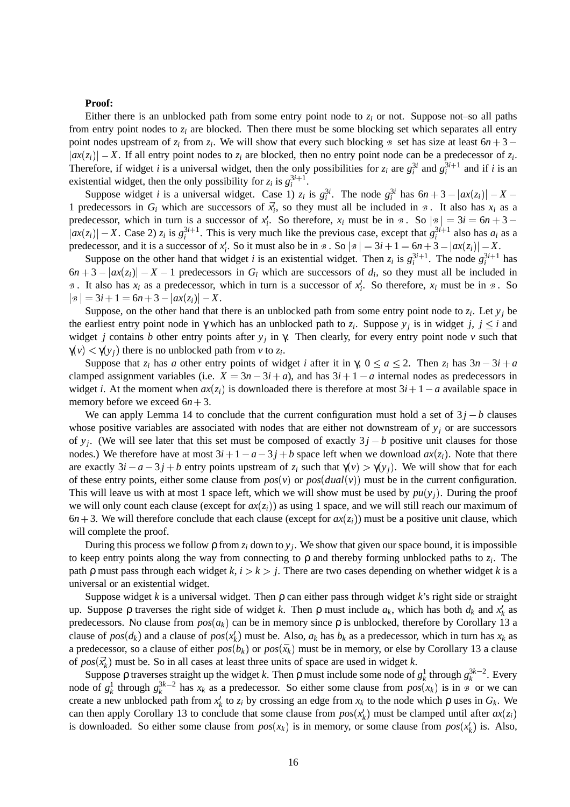#### **Proof:**

Either there is an unblocked path from some entry point node to  $z_i$  or not. Suppose not–so all paths from entry point nodes to  $z_i$  are blocked. Then there must be some blocking set which separates all entry point nodes upstream of  $z_i$  from  $z_i$ . We will show that every such blocking  $\beta$  set has size at least  $6n + 3$  $|ax(z_i)| - X$ . If all entry point nodes to  $z_i$  are blocked, then no entry point node can be a predecessor of  $z_i$ . Therefore, if widget *i* is a universal widget, then the only possibilities for  $z_i$  are  $g_i^{3i}$  and  $g_i^{3i+1}$  and if *i* is an existential widget, then the only possibility for  $z_i$  is  $g_i^{3i+1}$ .

Suppose widget *i* is a universal widget. Case 1)  $z_i$  is  $g_i^{3i}$ . The node  $g_i^{3i}$  has  $6n + 3 - |ax(z_i)| - X -$ 1 predecessors in  $G_i$  which are successors of  $\vec{x}_i$ , so they must all be included in  $\infty$ . It also has  $x_i$  as a predecessor, which in turn is a successor of  $x_i^i$ . So therefore,  $x_i$  must be in  $\mathcal{B}$ . So  $|\mathcal{B}| = 3i = 6n + 3 - 6$  $|ax(z_i)| - X$ . Case 2)  $z_i$  is  $g_i^{3i+1}$ . This is very much like the previous case, except that  $g_i^{3i+1}$  also has  $a_i$  as a predecessor, and it is a successor of  $x_i'$ . So it must also be in  $\mathcal{B}$ . So  $|\mathcal{B}| = 3i + 1 = 6n + 3 - |ax(z_i)| - X$ .

Suppose on the other hand that widget *i* is an existential widget. Then  $z_i$  is  $g_i^{3i+1}$ . The node  $g_i^{3i+1}$  has  $6n + 3 - |ax(z_i)| - X - 1$  predecessors in  $G_i$  which are successors of  $d_i$ , so they must all be included in B. It also has  $x_i$  as a predecessor, which in turn is a successor of  $x_i^j$ . So therefore,  $x_i$  must be in  $\mathcal{B}$ . So  $|g| = 3i + 1 = 6n + 3 - |ax(z_i)| - X.$ 

Suppose, on the other hand that there is an unblocked path from some entry point node to  $z_i$ . Let  $y_j$  be the earliest entry point node in  $\gamma$  which has an unblocked path to  $z_i$ . Suppose  $y_j$  is in widget *j*,  $j \leq i$  and widget *j* contains *b* other entry points after *y<sup>j</sup>* in γ. Then clearly, for every entry point node *v* such that  $\gamma(v) < \gamma(y_j)$  there is no unblocked path from *v* to *z<sub>i</sub>*.

Suppose that  $z_i$  has *a* other entry points of widget *i* after it in  $\gamma$ ,  $0 \le a \le 2$ . Then  $z_i$  has  $3n - 3i + a$ clamped assignment variables (i.e.  $X = 3n - 3i + a$ ), and has  $3i + 1 - a$  internal nodes as predecessors in widget *i*. At the moment when  $ax(z_i)$  is downloaded there is therefore at most  $3i + 1 - a$  available space in memory before we exceed  $6n + 3$ .

We can apply Lemma 14 to conclude that the current configuration must hold a set of  $3j - b$  clauses whose positive variables are associated with nodes that are either not downstream of *y<sup>j</sup>* or are successors of  $y_j$ . (We will see later that this set must be composed of exactly  $3j - b$  positive unit clauses for those nodes.) We therefore have at most  $3i + 1 - a - 3j + b$  space left when we download  $ax(z_i)$ . Note that there are exactly  $3i - a - 3j + b$  entry points upstream of  $z_i$  such that  $\gamma(v) > \gamma(y_j)$ . We will show that for each of these entry points, either some clause from  $pos(v)$  or  $pos(dual(v))$  must be in the current configuration. This will leave us with at most 1 space left, which we will show must be used by  $pu(y_j)$ . During the proof we will only count each clause (except for  $ax(z_i)$ ) as using 1 space, and we will still reach our maximum of  $6n + 3$ . We will therefore conclude that each clause (except for  $ax(z_i)$ ) must be a positive unit clause, which will complete the proof.

During this process we follow ρ from *z<sup>i</sup>* down to *y<sup>j</sup>* . We show that given our space bound, it is impossible to keep entry points along the way from connecting to ρ and thereby forming unblocked paths to *z<sup>i</sup>* . The path  $\rho$  must pass through each widget  $k$ ,  $i > k > j$ . There are two cases depending on whether widget  $k$  is a universal or an existential widget.

Suppose widget *k* is a universal widget. Then ρ can either pass through widget *k*'s right side or straight up. Suppose  $\rho$  traverses the right side of widget *k*. Then  $\rho$  must include  $a_k$ , which has both  $d_k$  and  $x'_k$  as predecessors. No clause from  $pos(a_k)$  can be in memory since  $\rho$  is unblocked, therefore by Corollary 13 a clause of  $pos(d_k)$  and a clause of  $pos(x'_k)$  must be. Also,  $a_k$  has  $b_k$  as a predecessor, which in turn has  $x_k$  as a predecessor, so a clause of either  $pos(b_k)$  or  $pos(\bar{x}_k)$  must be in memory, or else by Corollary 13 a clause of  $pos(\vec{x}'_k)$  must be. So in all cases at least three units of space are used in widget *k*.

Suppose  $\rho$  traverses straight up the widget *k*. Then  $\rho$  must include some node of  $g_k^1$  through  $g_k^{3k-2}$ . Every node of  $g_k^1$  through  $g_k^{3k-2}$  has  $x_k$  as a predecessor. So either some clause from  $pos(x_k)$  is in  $\overline{B}$  or we can create a new unblocked path from  $x_k$  to  $z_i$  by crossing an edge from  $x_k$  to the node which  $\rho$  uses in  $G_k$ . We can then apply Corollary 13 to conclude that some clause from  $pos(x_k)$  must be clamped until after  $ax(z_i)$ is downloaded. So either some clause from  $pos(x_k)$  is in memory, or some clause from  $pos(x_k)$  is. Also,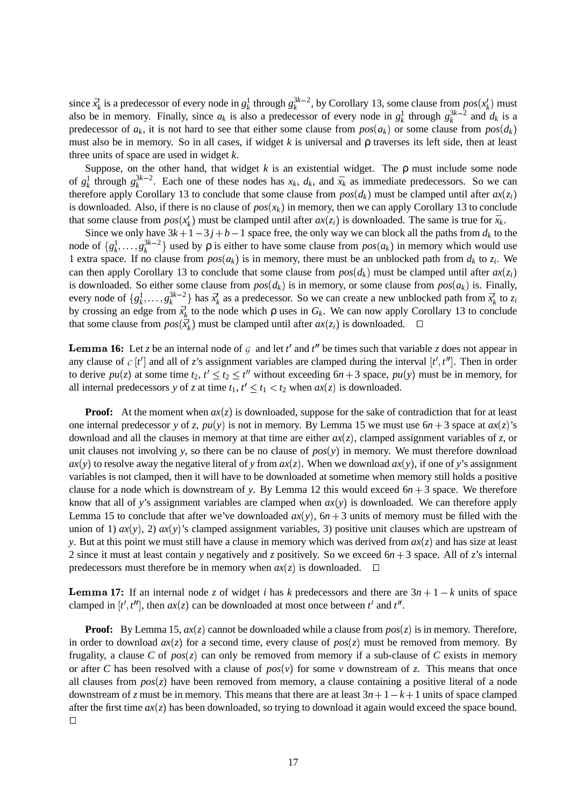since  $\bar{x}_k^j$  is a predecessor of every node in  $g_k^1$  through  $g_k^{3k-2}$ , by Corollary 13, some clause from  $pos(x_k^j)$  must also be in memory. Finally, since  $a_k$  is also a predecessor of every node in  $g_k^1$  through  $g_k^{3k-2}$  and  $d_k$  is a predecessor of  $a_k$ , it is not hard to see that either some clause from  $pos(a_k)$  or some clause from  $pos(d_k)$ must also be in memory. So in all cases, if widget *k* is universal and ρ traverses its left side, then at least three units of space are used in widget *k*.

Suppose, on the other hand, that widget  $k$  is an existential widget. The  $\rho$  must include some node of  $g_k^1$  through  $g_k^{3k-2}$ . Each one of these nodes has  $x_k$ ,  $d_k$ , and  $\bar{x}_k$  as immediate predecessors. So we can therefore apply Corollary 13 to conclude that some clause from  $pos(d_k)$  must be clamped until after  $ax(z_i)$ is downloaded. Also, if there is no clause of  $pos(x_k)$  in memory, then we can apply Corollary 13 to conclude that some clause from  $pos(x_k)$  must be clamped until after  $ax(z_i)$  is downloaded. The same is true for  $\bar{x}_k$ .

Since we only have  $3k+1-3j+b-1$  space free, the only way we can block all the paths from  $d_k$  to the node of  $\{g_k^1, \ldots, g_k^{3k-2}\}\)$  used by  $\rho$  is either to have some clause from  $pos(a_k)$  in memory which would use 1 extra space. If no clause from  $pos(a_k)$  is in memory, there must be an unblocked path from  $d_k$  to  $z_i$ . We can then apply Corollary 13 to conclude that some clause from  $pos(d_k)$  must be clamped until after  $ax(z_i)$ is downloaded. So either some clause from  $pos(d_k)$  is in memory, or some clause from  $pos(a_k)$  is. Finally, every node of  $\{g_k^1, \ldots, g_k^{3k-2}\}\$  has  $\bar{x}'_k$  as a predecessor. So we can create a new unblocked path from  $\bar{x}'_k$  to  $z_i$ by crossing an edge from  $\vec{x}'_k$  to the node which  $\rho$  uses in  $G_k$ . We can now apply Corollary 13 to conclude that some clause from  $pos(\vec{x}_k)$  must be clamped until after  $ax(z_i)$  is downloaded.  $\Box$ 

**Lemma 16:** Let *z* be an internal node of  $G$  and let  $t'$  and  $t''$  be times such that variable *z* does not appear in any clause of  $c \, [t']$  and all of *z*'s assignment variables are clamped during the interval  $[t', t'']$ . Then in order to derive  $pu(z)$  at some time  $t_2$ ,  $t' \le t_2 \le t''$  without exceeding  $6n+3$  space,  $pu(y)$  must be in memory, for all internal predecessors *y* of *z* at time  $t_1$ ,  $t' \le t_1 < t_2$  when  $ax(z)$  is downloaded.

**Proof:** At the moment when  $ax(z)$  is downloaded, suppose for the sake of contradiction that for at least one internal predecessor *y* of *z*,  $pu(y)$  is not in memory. By Lemma 15 we must use  $6n + 3$  space at  $ax(z)$ 's download and all the clauses in memory at that time are either  $ax(z)$ , clamped assignment variables of *z*, or unit clauses not involving *y*, so there can be no clause of  $pos(y)$  in memory. We must therefore download  $ax(y)$  to resolve away the negative literal of *y* from  $ax(z)$ . When we download  $ax(y)$ , if one of *y*'s assignment variables is not clamped, then it will have to be downloaded at sometime when memory still holds a positive clause for a node which is downstream of *y*. By Lemma 12 this would exceed  $6n + 3$  space. We therefore know that all of *y*'s assignment variables are clamped when  $ax(y)$  is downloaded. We can therefore apply Lemma 15 to conclude that after we've downloaded  $ax(y)$ ,  $6n + 3$  units of memory must be filled with the union of 1)  $ax(y)$ , 2)  $ax(y)$ 's clamped assignment variables, 3) positive unit clauses which are upstream of *y*. But at this point we must still have a clause in memory which was derived from  $ax(z)$  and has size at least 2 since it must at least contain *y* negatively and *z* positively. So we exceed  $6n + 3$  space. All of *z*'s internal predecessors must therefore be in memory when  $ax(z)$  is downloaded.  $\square$ 

**17:** If an internal node *z* of widget *i* has *k* predecessors and there are  $3n + 1 - k$  units of space clamped in  $[t', t'']$ , then  $ax(z)$  can be downloaded at most once between  $t'$  and  $t''$ .

**Proof:** By Lemma 15,  $ax(z)$  cannot be downloaded while a clause from  $pos(z)$  is in memory. Therefore, in order to download  $ax(z)$  for a second time, every clause of  $pos(z)$  must be removed from memory. By frugality, a clause C of  $pos(z)$  can only be removed from memory if a sub-clause of C exists in memory or after C has been resolved with a clause of  $pos(v)$  for some v downstream of z. This means that once all clauses from  $pos(z)$  have been removed from memory, a clause containing a positive literal of a node downstream of *z* must be in memory. This means that there are at least  $3n + 1 - k + 1$  units of space clamped after the first time  $ax(z)$  has been downloaded, so trying to download it again would exceed the space bound.  $\Box$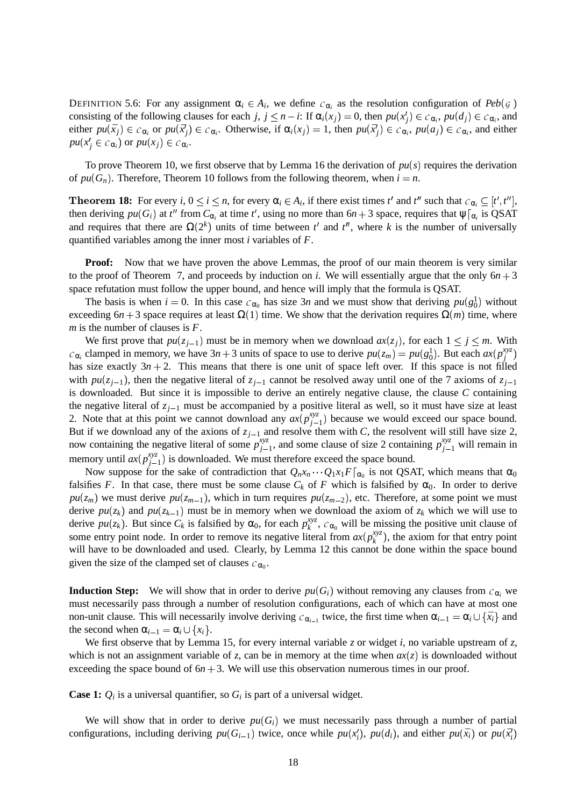DEFINITION 5.6: For any assignment  $\alpha_i \in A_i$ , we define  $c_{\alpha_i}$  as the resolution configuration of  $Peb(g)$ consisting of the following clauses for each *j*,  $j \leq n - i$ : If  $\alpha_i(x_j) = 0$ , then  $pu(x'_j) \in c_{\alpha_i}$ ,  $pu(d_j) \in c_{\alpha_i}$ , and either  $pu(\bar{x}_j) \in c_{\alpha_i}$  or  $pu(\bar{x}'_j) \in c_{\alpha_i}$ . Otherwise, if  $\alpha_i(x_j) = 1$ , then  $pu(\bar{x}'_j) \in c_{\alpha_i}$ ,  $pu(a_j) \in c_{\alpha_i}$ , and either  $pu(x'_{j} \in c_{\alpha_{i}})$  or  $pu(x_{j}) \in c_{\alpha_{i}}$ .

To prove Theorem 10, we first observe that by Lemma 16 the derivation of  $pu(s)$  requires the derivation of  $pu(G_n)$ . Therefore, Theorem 10 follows from the following theorem, when  $i = n$ .

**18:** For every *i*,  $0 \le i \le n$ , for every  $\alpha_i \in A_i$ , if there exist times  $t'$  and  $t''$  such that  $c_{\alpha_i} \subseteq [t', t'']$ , then deriving  $pu(G_i)$  at  $t''$  from  $C_{\alpha_i}$  at time  $t'$ , using no more than  $6n+3$  space, requires that  $\psi|_{\alpha_i}$  is QSAT and requires that there are  $\Omega(2^k)$  units of time between  $t^l$  and  $t^l$ , where k is the number of universally quantified variables among the inner most *i* variables of *F*.

**Proof:** Now that we have proven the above Lemmas, the proof of our main theorem is very similar to the proof of Theorem 7, and proceeds by induction on *i*. We will essentially argue that the only  $6n + 3$ space refutation must follow the upper bound, and hence will imply that the formula is QSAT.

The basis is when  $i = 0$ . In this case  $c_{\alpha_0}$  has size 3*n* and we must show that deriving  $pu(g_0^1)$  without exceeding  $6n + 3$  space requires at least  $\Omega(1)$  time. We show that the derivation requires  $\Omega(m)$  time, where *m* is the number of clauses is *F*.

We first prove that  $pu(z_{j-1})$  must be in memory when we download  $ax(z_j)$ , for each  $1 \leq j \leq m$ . With  $c_{\alpha_i}$  clamped in memory, we have  $3n + 3$  units of space to use to derive  $pu(z_m) = pu(g_0^1)$ . But each  $ax(p_j^{xyz})$ *j* has size exactly  $3n + 2$ . This means that there is one unit of space left over. If this space is not filled with  $pu(z_{j-1})$ , then the negative literal of  $z_{j-1}$  cannot be resolved away until one of the 7 axioms of  $z_{j-1}$ is downloaded. But since it is impossible to derive an entirely negative clause, the clause *C* containing the negative literal of  $z_{j-1}$  must be accompanied by a positive literal as well, so it must have size at least 2. Note that at this point we cannot download any  $ax(p_{j-1}^{xyz})$  because we would exceed our space bound. But if we download any of the axions of  $z_{j-1}$  and resolve them with *C*, the resolvent will still have size 2, now containing the negative literal of some  $p_{i-}^{xyz}$  $j_{j-1}^{xyz}$ , and some clause of size 2 containing  $p_{j-1}^{xyz}$  will remain in memory until  $ax(p_{j-1}^{xyz})$  is downloaded. We must therefore exceed the space bound.

Now suppose for the sake of contradiction that  $Q_n x_n \cdots Q_1 x_1 F|_{\alpha_0}$  is not QSAT, which means that  $\alpha_0$ falsifies *F*. In that case, there must be some clause  $C_k$  of *F* which is falsified by  $\alpha_0$ . In order to derive  $pu(z_m)$  we must derive  $pu(z_{m-1})$ , which in turn requires  $pu(z_{m-2})$ , etc. Therefore, at some point we must derive  $pu(z_k)$  and  $pu(z_{k-1})$  must be in memory when we download the axiom of  $z_k$  which we will use to derive  $pu(z_k)$ . But since  $C_k$  is falsified by  $\alpha_0$ , for each  $p_k^{xyz}$  $\kappa_k^{xyz}$ ,  $c_{\alpha_0}$  will be missing the positive unit clause of some entry point node. In order to remove its negative literal from  $ax(p_k^{xyz})$ , the axiom for that entry point will have to be downloaded and used. Clearly, by Lemma 12 this cannot be done within the space bound given the size of the clamped set of clauses  $c_{\alpha_0}$ .

**Induction Step:** We will show that in order to derive  $pu(G_i)$  without removing any clauses from  $c_{\alpha_i}$  we must necessarily pass through a number of resolution configurations, each of which can have at most one non-unit clause. This will necessarily involve deriving  $c_{\alpha_{i-1}}$  twice, the first time when  $\alpha_{i-1} = \alpha_i \cup \{\bar{x}_i\}$  and the second when  $\alpha_{i-1} = \alpha_i \cup \{x_i\}.$ 

We first observe that by Lemma 15, for every internal variable *z* or widget *i*, no variable upstream of *z*, which is not an assignment variable of *z*, can be in memory at the time when  $ax(z)$  is downloaded without exceeding the space bound of  $6n + 3$ . We will use this observation numerous times in our proof.

**Case 1:**  $Q_i$  is a universal quantifier, so  $G_i$  is part of a universal widget.

We will show that in order to derive  $pu(G_i)$  we must necessarily pass through a number of partial configurations, including deriving  $pu(G_{i-1})$  twice, once while  $pu(x_i^j)$ ,  $pu(d_i)$ , and either  $pu(\bar{x}_i)$  or  $pu(\bar{x}_i^j)$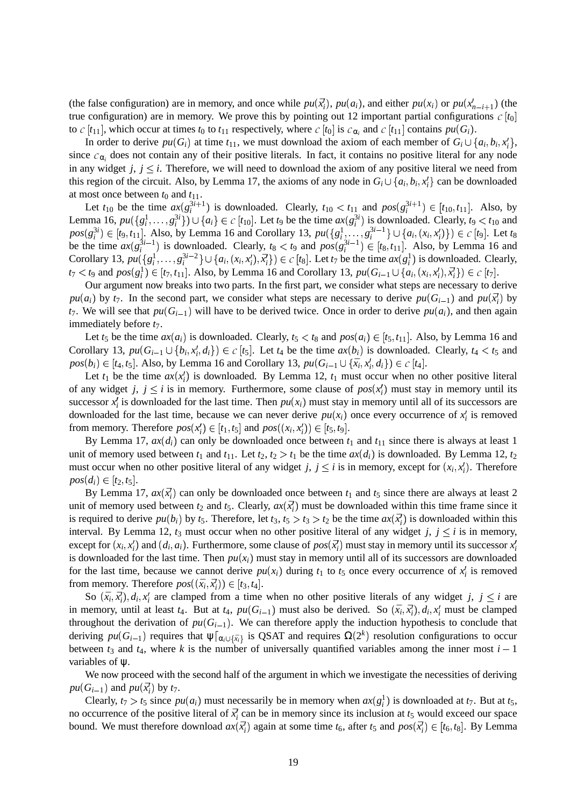(the false configuration) are in memory, and once while  $pu(\vec{x_i})$ ,  $pu(a_i)$ , and either  $pu(x_i)$  or  $pu(x_{n-i+1})$  (the true configuration) are in memory. We prove this by pointing out 12 important partial configurations  $c[t_0]$ to  $c[t_{11}]$ , which occur at times  $t_0$  to  $t_{11}$  respectively, where  $c[t_0]$  is  $c_{\alpha_i}$  and  $c[t_{11}]$  contains  $pu(G_i)$ .

In order to derive  $pu(G_i)$  at time  $t_{11}$ , we must download the axiom of each member of  $G_i \cup \{a_i, b_i, x'_i\}$ , since  $c_{\alpha_i}$  does not contain any of their positive literals. In fact, it contains no positive literal for any node in any widget  $j, j \leq i$ . Therefore, we will need to download the axiom of any positive literal we need from this region of the circuit. Also, by Lemma 17, the axioms of any node in  $G_i \cup \{a_i, b_i, x_i'\}$  can be downloaded at most once between  $t_0$  and  $t_{11}$ .

Let  $t_{10}$  be the time  $ax(g_i^{3i+1})$  is downloaded. Clearly,  $t_{10} < t_{11}$  and  $pos(g_i^{3i+1}) \in [t_{10}, t_{11}]$ . Also, by Lemma 16,  $pu(\lbrace g_i^1, \ldots, g_i^{3i} \rbrace) \cup \lbrace a_i \rbrace \in c[t_{10}]$ . Let  $t_9$  be the time  $ax(g_i^{3i})$  is downloaded. Clearly,  $t_9 < t_{10}$  and  $pos(g_i^{3i}) \in [t_9, t_{11}]$ . Also, by Lemma 16 and Corollary 13,  $pu(\{g_i^1, \ldots, g_i^{3i-1}\} \cup \{a_i, (x_i, x_i')\}) \in c[t_9]$ . Let  $t_8$ be the time  $ax(g_i^{3i-1})$  is downloaded. Clearly,  $t_8 < t_9$  and  $pos(g_i^{3i-1}) \in [t_8, t_{11}]$ . Also, by Lemma 16 and Corollary 13,  $pu(\{g_i^1, \ldots, g_i^{3i-2}\} \cup \{a_i, (x_i, x_i^j), \bar{x}_i^l\}) \in c [t_8]$ . Let  $t_7$  be the time  $ax(g_i^1)$  is downloaded. Clearly,  $t_7 < t_9$  and  $pos(g_i^1) \in [t_7, t_{11}]$ . Also, by Lemma 16 and Corollary 13,  $pu(G_{i-1} \cup \{a_i, (x_i, x_i'), \bar{x}_i'\}) \in c[t_7]$ .

Our argument now breaks into two parts. In the first part, we consider what steps are necessary to derive  $pu(a_i)$  by  $t_7$ . In the second part, we consider what steps are necessary to derive  $pu(G_{i-1})$  and  $pu(\vec{x_i})$  by  $t_7$ . We will see that  $pu(G_{i-1})$  will have to be derived twice. Once in order to derive  $pu(a_i)$ , and then again immediately before *t*7.

Let  $t_5$  be the time  $ax(a_i)$  is downloaded. Clearly,  $t_5 < t_8$  and  $pos(a_i) \in [t_5, t_{11}]$ . Also, by Lemma 16 and Corollary 13,  $pu(G_{i-1} \cup \{b_i, x'_i, d_i\}) \in c[t_5]$ . Let  $t_4$  be the time  $ax(b_i)$  is downloaded. Clearly,  $t_4 < t_5$  and  $pos(b_i) \in [t_4, t_5]$ . Also, by Lemma 16 and Corollary 13,  $pu(G_{i-1} \cup {\bar{x}_i, x'_i, d_i}) \in c[t_4]$ .

Let  $t_1$  be the time  $ax(x_i)$  is downloaded. By Lemma 12,  $t_1$  must occur when no other positive literal of any widget *j*,  $j \le i$  is in memory. Furthermore, some clause of  $pos(x_i)$  must stay in memory until its successor  $x_i'$  is downloaded for the last time. Then  $pu(x_i)$  must stay in memory until all of its successors are downloaded for the last time, because we can never derive  $pu(x_i)$  once every occurrence of  $x_i'$  is removed from memory. Therefore  $pos(x_i) \in [t_1, t_5]$  and  $pos((x_i, x_i')) \in [t_5, t_9]$ .

By Lemma 17,  $ax(d_i)$  can only be downloaded once between  $t_1$  and  $t_{11}$  since there is always at least 1 unit of memory used between  $t_1$  and  $t_{11}$ . Let  $t_2$ ,  $t_2 > t_1$  be the time  $ax(d_i)$  is downloaded. By Lemma 12,  $t_2$ must occur when no other positive literal of any widget *j*,  $j \leq i$  is in memory, except for  $(x_i, x_i')$ . Therefore  $pos(d_i) \in [t_2, t_5].$ 

By Lemma 17,  $ax(\vec{x}_i)$  can only be downloaded once between  $t_1$  and  $t_5$  since there are always at least 2 unit of memory used between  $t_2$  and  $t_5$ . Clearly,  $ax(\bar{x}_i)$  must be downloaded within this time frame since it is required to derive  $pu(b_i)$  by  $t_5$ . Therefore, let  $t_3$ ,  $t_5 > t_3 > t_2$  be the time  $ax(\vec{x}_i)$  is downloaded within this interval. By Lemma 12,  $t_3$  must occur when no other positive literal of any widget *j*,  $j \le i$  is in memory, except for  $(x_i, x'_i)$  and  $(d_i, a_i)$ . Furthermore, some clause of  $pos(\vec{x'_i})$  must stay in memory until its successor  $x'_i$ is downloaded for the last time. Then  $pu(x_i)$  must stay in memory until all of its successors are downloaded for the last time, because we cannot derive  $pu(x_i)$  during  $t_1$  to  $t_5$  once every occurrence of  $x_i^t$  is removed from memory. Therefore  $pos((\bar{x}_i, \bar{x}'_i)) \in [t_3, t_4]$ .

So  $(\bar{x}_i, \bar{x}'_i), d_i, x'_i$  are clamped from a time when no other positive literals of any widget *j*,  $j \leq i$  are in memory, until at least  $t_4$ . But at  $t_4$ ,  $pu(G_{i-1})$  must also be derived. So  $(\bar{x}_i, \bar{x}_i^t), d_i, x_i^t$  must be clamped throughout the derivation of  $pu(G_{i-1})$ . We can therefore apply the induction hypothesis to conclude that deriving  $pu(G_{i-1})$  requires that  $\psi|_{\alpha_i \cup \{\bar{x}_i\}}$  is QSAT and requires  $\Omega(2^k)$  resolution configurations to occur between  $t_3$  and  $t_4$ , where k is the number of universally quantified variables among the inner most  $i-1$ variables of ψ.

We now proceed with the second half of the argument in which we investigate the necessities of deriving  $pu(G_{i-1})$  and  $pu(\vec{x}_i)$  by  $t_7$ .

Clearly,  $t_7 > t_5$  since  $pu(a_i)$  must necessarily be in memory when  $ax(g_i^1)$  is downloaded at  $t_7$ . But at  $t_5$ , no occurrence of the positive literal of  $\bar{x}^l_i$  can be in memory since its inclusion at  $t_5$  would exceed our space bound. We must therefore download  $ax(\vec{x}_i)$  again at some time  $t_6$ , after  $t_5$  and  $pos(\vec{x}_i') \in [t_6, t_8]$ . By Lemma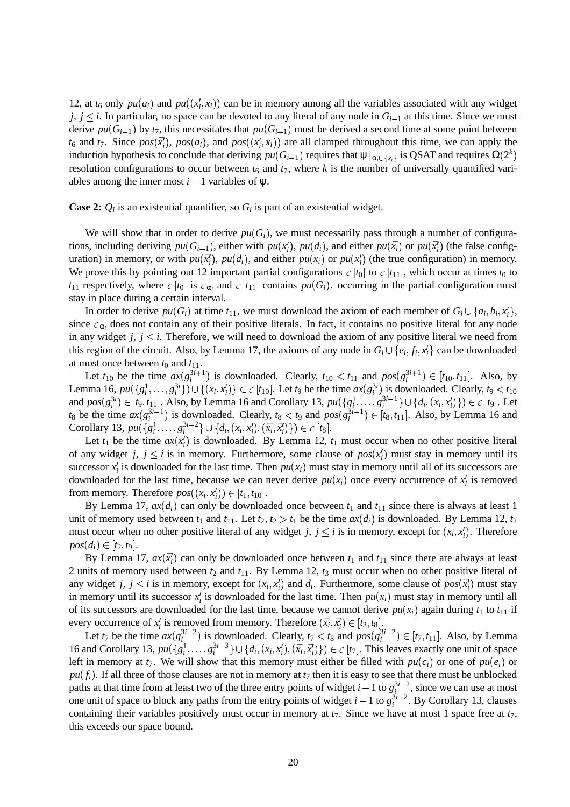12, at  $t_6$  only  $pu(a_i)$  and  $pu((x'_i, x_i))$  can be in memory among all the variables associated with any widget  $j, j \leq i$ . In particular, no space can be devoted to any literal of any node in  $G_{i-1}$  at this time. Since we must derive  $pu(G_{i-1})$  by  $t_7$ , this necessitates that  $pu(G_{i-1})$  must be derived a second time at some point between  $t_6$  and  $t_7$ . Since  $pos(\vec{x}_i)$ ,  $pos(a_i)$ , and  $pos((x_i^t, x_i))$  are all clamped throughout this time, we can apply the induction hypothesis to conclude that deriving  $pu(G_{i-1})$  requires that  $\psi|_{\alpha_i \cup \{x_i\}}$  is QSAT and requires  $\Omega(2^k)$  $\mathbf{r}$  and  $\mathbf{r}$  and  $\mathbf{r}$ resolution configurations to occur between  $t_6$  and  $t_7$ , where k is the number of universally quantified variables among the inner most  $i-1$  variables of  $\psi$ .

**Case 2:**  $Q_i$  is an existential quantifier, so  $G_i$  is part of an existential widget.

We will show that in order to derive  $pu(G_i)$ , we must necessarily pass through a number of configurations, including deriving  $pu(G_{i-1})$ , either with  $pu(x_i^l)$ ,  $pu(d_i)$ , and either  $pu(\bar{x}_i)$  or  $pu(\bar{x}_i^l)$  (the false configuration) in memory, or with  $pu(\vec{x_i})$ ,  $pu(d_i)$ , and either  $pu(x_i)$  or  $pu(x_i')$  (the true configuration) in memory. We prove this by pointing out 12 important partial configurations  $c$   $[t_0]$  to  $c$   $[t_{11}]$ , which occur at times  $t_0$  to  $t_{11}$  respectively, where  $c[t_0]$  is  $c_{\alpha_i}$  and  $c[t_{11}]$  contains  $pu(G_i)$ . occurring in the partial configuration must stay in place during a certain interval.

In order to derive  $pu(G_i)$  at time  $t_{11}$ , we must download the axiom of each member of  $G_i \cup \{a_i, b_i, x'_i\}$ , since  $c_{\alpha_i}$  does not contain any of their positive literals. In fact, it contains no positive literal for any node in any widget  $j, j \leq i$ . Therefore, we will need to download the axiom of any positive literal we need from this region of the circuit. Also, by Lemma 17, the axioms of any node in  $G_i \cup \{e_i, f_i, x_i'\}$  can be downloaded at most once between  $t_0$  and  $t_{11}$ .

Let  $t_{10}$  be the time  $ax(g_i^{3i+1})$  is downloaded. Clearly,  $t_{10} < t_{11}$  and  $pos(g_i^{3i+1}) \in [t_{10}, t_{11}]$ . Also, by Lemma 16,  $pu({g_i^1, ..., g_i^{3i}}) \cup {(x_i, x'_i)} \in G$  $(x_i, x_i')\}\in c[t_{10}]$ . Let *t*<sub>9</sub> be the time  $ax(g_i^{3i})$  is downloaded. Clearly, *t*<sub>9</sub> < *t*<sub>10</sub> and  $pos(g_i^{3i}) \in [t_9, t_{11}]$ . Also, by Lemma 16 and Corollary 13,  $pu(\{g_i^1, \ldots, g_i^{3i-1}\} \cup \{d_i, (x_i, x_i')\}) \in c[t_9]$ . Let  $t_8$  be the time  $ax(g_i^{3i-1})$  is downloaded. Clearly,  $t_8 < t_9$  and  $pos(g_i^{3i-1}) \in [t_8, t_{11}]$ . Also, by Lemma 16 and Corollary 13,  $pu({g_i^1, ..., g_i^{3i-2}} \cup {d_i, (x_i, x_i'), (\bar{x}_i, \vec{x}_i')} ) \in c [t_8].$ 

Let  $t_1$  be the time  $ax(x_i)$  is downloaded. By Lemma 12,  $t_1$  must occur when no other positive literal of any widget *j*,  $j \le i$  is in memory. Furthermore, some clause of  $pos(x_i)$  must stay in memory until its successor  $x_i'$  is downloaded for the last time. Then  $pu(x_i)$  must stay in memory until all of its successors are downloaded for the last time, because we can never derive  $pu(x_i)$  once every occurrence of  $x_i'$  is removed from memory. Therefore  $pos((x_i, x'_i)) \in [t_1, t_{10}]$ .

By Lemma 17,  $ax(d_i)$  can only be downloaded once between  $t_1$  and  $t_{11}$  since there is always at least 1 unit of memory used between  $t_1$  and  $t_{11}$ . Let  $t_2$ ,  $t_2 > t_1$  be the time  $ax(d_i)$  is downloaded. By Lemma 12,  $t_2$ must occur when no other positive literal of any widget *j*,  $j \leq i$  is in memory, except for  $(x_i, x_i')$ . Therefore  $pos(d_i) \in [t_2, t_9].$ 

By Lemma 17,  $ax(\bar{x}_i)$  can only be downloaded once between  $t_1$  and  $t_{11}$  since there are always at least 2 units of memory used between *t*<sup>2</sup> and *t*11. By Lemma 12, *t*<sup>3</sup> must occur when no other positive literal of any widget *j*,  $j \le i$  is in memory, except for  $(x_i, x'_i)$  and  $d_i$ . Furthermore, some clause of  $pos(\vec{x}'_i)$  must stay in memory until its successor  $x_i$  is downloaded for the last time. Then  $pu(x_i)$  must stay in memory until all of its successors are downloaded for the last time, because we cannot derive  $pu(x_i)$  again during  $t_1$  to  $t_{11}$  if every occurrence of  $x_i'$  is removed from memory. Therefore  $(\bar{x}_i, \bar{x}_i') \in [t_3, t_8]$ .

Let  $t_7$  be the time  $ax(g_i^{3i-2})$  is downloaded. Clearly,  $t_7 < t_8$  and  $pos(g_i^{3i-2}) \in [t_7, t_{11}]$ . Also, by Lemma 16 and Corollary 13,  $pu(\{g_i^1, \ldots, g_i^{3i-3}\} \cup \{d_i, (x_i, x_i'), (\bar{x}_i, \bar{x}_i')\}) \in c[t_7]$ . This leaves exactly one unit of space left in memory at  $t_7$ . We will show that this memory must either be filled with  $pu(c_i)$  or one of  $pu(e_i)$  or  $pu(f_i)$ . If all three of those clauses are not in memory at  $t_7$  then it is easy to see that there must be unblocked paths at that time from at least two of the three entry points of widget  $i-1$  to  $g_i^{3i-2}$ , since we can use at most one unit of space to block any paths from the entry points of widget  $i-1$  to  $g_i^{3i-2}$ . By Corollary 13, clauses containing their variables positively must occur in memory at  $t_7$ . Since we have at most 1 space free at  $t_7$ , this exceeds our space bound.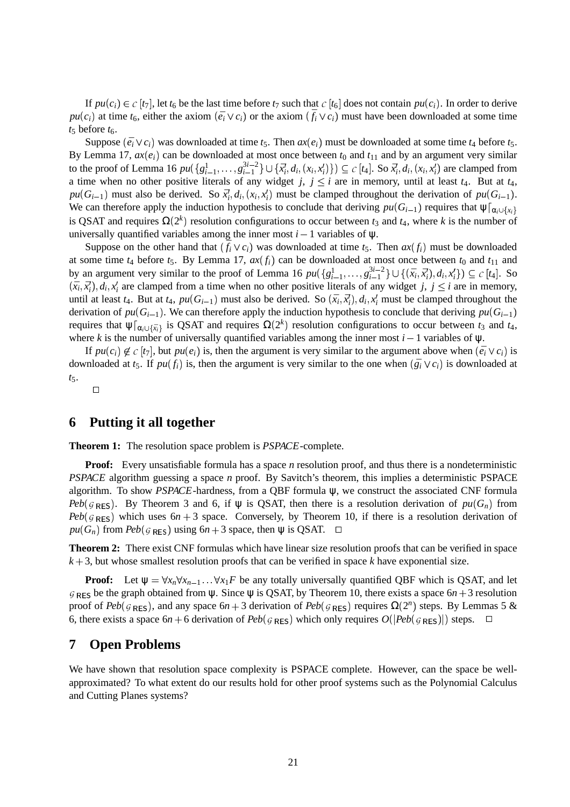If  $pu(c_i) \in c[t_7]$ , let  $t_6$  be the last time before  $t_7$  such that  $c[t_6]$  does not contain  $pu(c_i)$ . In order to derive  $pu(c_i)$  at time  $t_6$ , either the axiom  $(\bar{e_i} \vee c_i)$  or the axiom  $(\bar{f_i} \vee c_i)$  must have been downloaded at some time  $t_5$  before  $t_6$ .

Suppose  $(\bar{e}_i \vee c_i)$  was downloaded at time  $t_5$ . Then  $ax(e_i)$  must be downloaded at some time  $t_4$  before  $t_5$ . By Lemma 17,  $ax(e_i)$  can be downloaded at most once between  $t_0$  and  $t_{11}$  and by an argument very similar to the proof of Lemma 16  $pu(\{g_{i-1}^1, ..., g_{i-1}^{3i-2}\} \cup \{\vec{x}_i, d_i, (x_i, x_i')\}) \subseteq c[t_4]$ . So  $\vec{x}_i, d_i, (x_i, x_i')$  are clamped from a time when no other positive literals of any widget *j*,  $j \leq i$  are in memory, until at least  $t_4$ . But at  $t_4$ ,  $pu(G_{i-1})$  must also be derived. So  $\bar{x}_i^t, d_i, (x_i, x_i^t)$  must be clamped throughout the derivation of  $pu(G_{i-1})$ . We can therefore apply the induction hypothesis to conclude that deriving  $pu(G_{i-1})$  requires that  $\psi|_{\alpha_i \cup \{x_i\}}$ is QSAT and requires  $\Omega(2^k)$  resolution configurations to occur between  $t_3$  and  $t_4$ , where k is the number of universally quantified variables among the inner most  $i - 1$  variables of  $\psi$ .

Suppose on the other hand that  $(\bar{f}_i \vee c_i)$  was downloaded at time  $t_5$ . Then  $ax(f_i)$  must be downloaded at some time  $t_4$  before  $t_5$ . By Lemma 17,  $ax(f_i)$  can be downloaded at most once between  $t_0$  and  $t_{11}$  and by an argument very similar to the proof of Lemma 16  $pu({g_{i-1}^1, ..., g_{i-1}^{3i-2}}) \cup ({\bar{x}_i, \bar{x}'_i}), d_i, \bar{x}'_i$  $(\bar{x}_i, \bar{x}'_i), d_i, x'_i\}) \subseteq c [t_4]$ . So  $(\bar{x}_i, \bar{x}_i^j), d_i, x_i^j$  are clamped from a time when no other positive literals of any widget *j*, *j*  $\leq$  *i* are in memory, until at least  $t_4$ . But at  $t_4$ ,  $pu(G_{i-1})$  must also be derived. So  $(\bar{x}_i, \bar{x}_i), d_i, x_i'$  must be clamped throughout the derivation of  $pu(G_{i-1})$ . We can therefore apply the induction hypothesis to conclude that deriving  $pu(G_{i-1})$ requires that  $\psi|_{\alpha_i \cup \{\bar{x}_i\}}$  is QSAT and requires  $\Omega(2^k)$  resolution configurations to occur between  $t_3$  and  $t_4$ , where *k* is the number of universally quantified variables among the inner most  $i - 1$  variables of  $\psi$ .

If  $pu(c_i) \notin c[t_7]$ , but  $pu(e_i)$  is, then the argument is very similar to the argument above when  $(\bar{e_i} \vee c_i)$  is downloaded at  $t_5$ . If  $pu(f_i)$  is, then the argument is very similar to the one when  $(\bar{g}_i \vee c_i)$  is downloaded at *t*5.

 $\Box$ 

#### **6 Putting it all together**

**Theorem 1:** The resolution space problem is *PSPACE*-complete.

**Proof:** Every unsatisfiable formula has a space *n* resolution proof, and thus there is a nondeterministic *PSPACE* algorithm guessing a space *n* proof. By Savitch's theorem, this implies a deterministic PSPACE algorithm. To show *PSPACE*-hardness, from a QBF formula ψ, we construct the associated CNF formula *Peb*( $g_{RES}$ ). By Theorem 3 and 6, if  $\psi$  is QSAT, then there is a resolution derivation of  $pu(G_n)$  from  $Peb(g_{RES})$  which uses  $6n + 3$  space. Conversely, by Theorem 10, if there is a resolution derivation of  $pu(G_n)$  from  $Peb(G_{RES})$  using  $6n+3$  space, then  $\psi$  is QSAT.  $\Box$ 

**Theorem 2:** There exist CNF formulas which have linear size resolution proofs that can be verified in space  $k+3$ , but whose smallest resolution proofs that can be verified in space k have exponential size.

**Proof:** Let  $\psi = \forall x_n \forall x_{n-1} \dots \forall x_1 F$  be any totally universally quantified QBF which is QSAT, and let  $G_{RES}$  be the graph obtained from  $\psi$ . Since  $\psi$  is QSAT, by Theorem 10, there exists a space  $6n + 3$  resolution proof of  $Peb(g_{RES})$ , and any space  $6n+3$  derivation of  $Peb(g_{RES})$  requires  $\Omega(2^n)$  steps. By Lemmas 5 & 6, there exists a space  $6n + 6$  derivation of  $Peb(g_{RES})$  which only requires  $O(|Peb(g_{RES})|)$  steps.  $\Box$ 

#### **7 Open Problems**

We have shown that resolution space complexity is PSPACE complete. However, can the space be wellapproximated? To what extent do our results hold for other proof systems such as the Polynomial Calculus and Cutting Planes systems?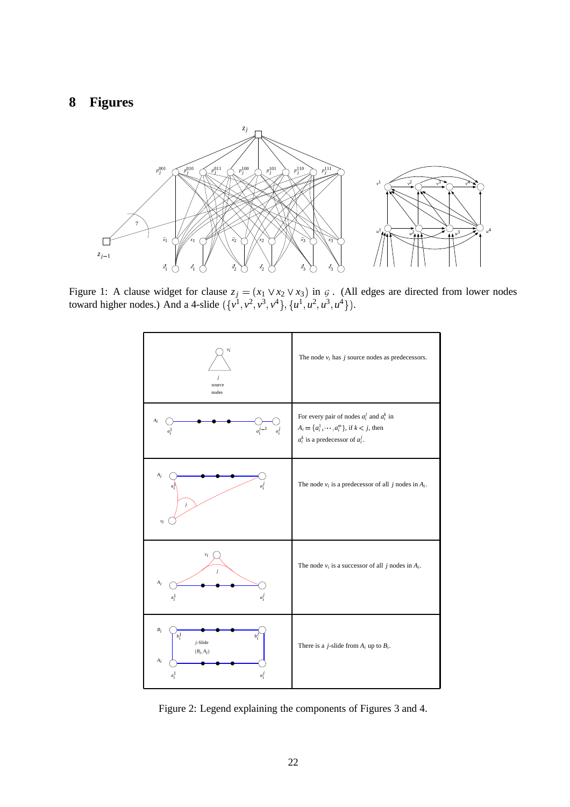# **8 Figures**



Figure 1: A clause widget for clause  $z_j = (x_1 \vee x_2 \vee x_3)$  in  $\varsigma$ . (All edges are directed from lower nodes toward higher nodes.) And a 4-slide  $(\{v^1, v^2, v^3, v^4\}, \{u^1, u^2, u^3, u^4\})$ .



Figure 2: Legend explaining the components of Figures 3 and 4.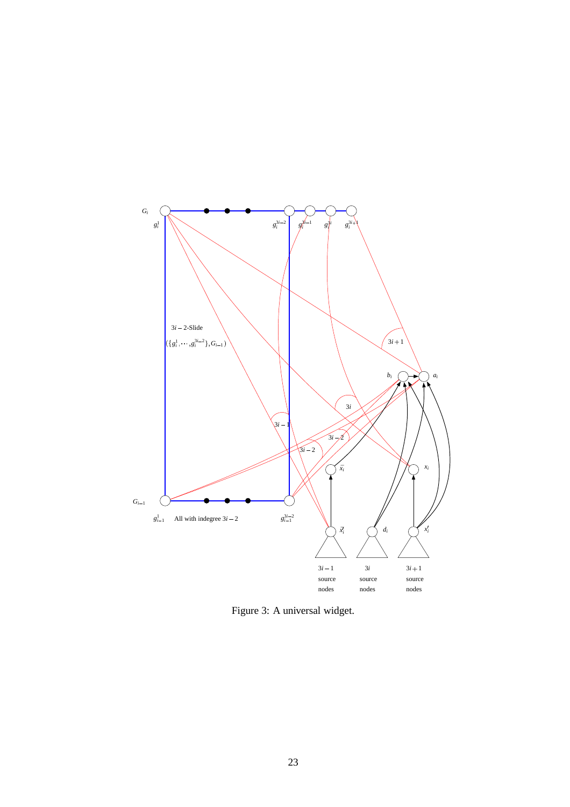

Figure 3: A universal widget.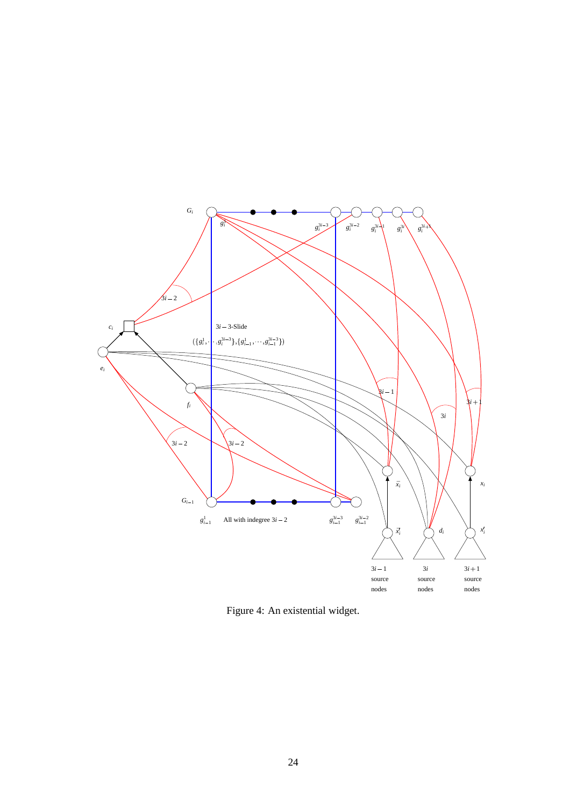

Figure 4: An existential widget.